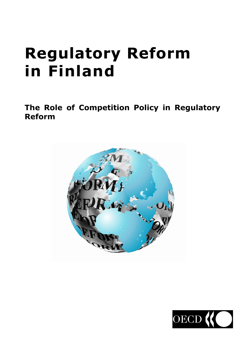# **Regulatory Reform** in Finland

The Role of Competition Policy in Regulatory **Reform** 



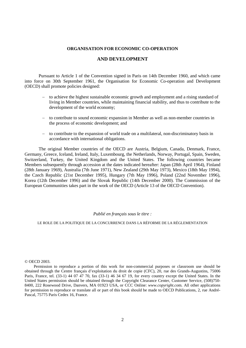## **ORGANISATION FOR ECONOMIC CO-OPERATION**

## **AND DEVELOPMENT**

 Pursuant to Article 1 of the Convention signed in Paris on 14th December 1960, and which came into force on 30th September 1961, the Organisation for Economic Co-operation and Development (OECD) shall promote policies designed:

- to achieve the highest sustainable economic growth and employment and a rising standard of living in Member countries, while maintaining financial stability, and thus to contribute to the development of the world economy;
- to contribute to sound economic expansion in Member as well as non-member countries in the process of economic development; and
- to contribute to the expansion of world trade on a multilateral, non-discriminatory basis in accordance with international obligations.

 The original Member countries of the OECD are Austria, Belgium, Canada, Denmark, France, Germany, Greece, Iceland, Ireland, Italy, Luxembourg, the Netherlands, Norway, Portugal, Spain, Sweden, Switzerland, Turkey, the United Kingdom and the United States. The following countries became Members subsequently through accession at the dates indicated hereafter: Japan (28th April 1964), Finland (28th January 1969), Australia (7th June 1971), New Zealand (29th May 1973), Mexico (18th May 1994), the Czech Republic (21st December 1995), Hungary (7th May 1996), Poland (22nd November 1996), Korea (12th December 1996) and the Slovak Republic (14th December 2000). The Commission of the European Communities takes part in the work of the OECD (Article 13 of the OECD Convention).

## *Publié en français sous le titre :*

#### LE ROLE DE LA POLITIQUE DE LA CONCURRENCE DANS LA RÉFORME DE LA RÉGLEMENTATION

#### © OECD 2003.

Permission to reproduce a portion of this work for non-commercial purposes or classroom use should be obtained through the Centre français d'exploitation du droit de copie (CFC), 20, rue des Grands-Augustins, 75006 Paris, France, tel. (33-1) 44 07 47 70, fax (33-1) 46 34 67 19, for every country except the United States. In the United States permission should be obtained through the Copyright Clearance Center, Customer Service, (508)750- 8400, 222 Rosewood Drive, Danvers, MA 01923 USA, or CCC Online: *www.copyright.co*m. All other applications for permission to reproduce or translate all or part of this book should be made to OECD Publications, 2, rue André-Pascal, 75775 Paris Cedex 16, France.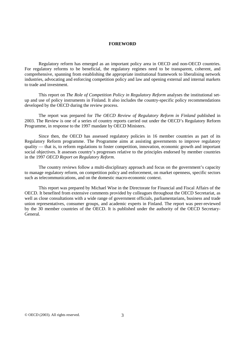## **FOREWORD**

 Regulatory reform has emerged as an important policy area in OECD and non-OECD countries. For regulatory reforms to be beneficial, the regulatory regimes need to be transparent, coherent, and comprehensive, spanning from establishing the appropriate institutional framework to liberalising network industries, advocating and enforcing competition policy and law and opening external and internal markets to trade and investment.

 This report on *The Role of Competition Policy in Regulatory Reform* analyses the institutional setup and use of policy instruments in Finland. It also includes the country-specific policy recommendations developed by the OECD during the review process.

 The report was prepared for *The OECD Review of Regulatory Reform in Finland* published in 2003. The Review is one of a series of country reports carried out under the OECD's Regulatory Reform Programme, in response to the 1997 mandate by OECD Ministers.

 Since then, the OECD has assessed regulatory policies in 16 member countries as part of its Regulatory Reform programme. The Programme aims at assisting governments to improve regulatory quality — that is, to reform regulations to foster competition, innovation, economic growth and important social objectives. It assesses country's progresses relative to the principles endorsed by member countries in the 1997 *OECD Report on Regulatory Reform*.

 The country reviews follow a multi-disciplinary approach and focus on the government's capacity to manage regulatory reform, on competition policy and enforcement, on market openness, specific sectors such as telecommunications, and on the domestic macro-economic context.

 This report was prepared by Michael Wise in the Directorate for Financial and Fiscal Affairs of the OECD. It benefited from extensive comments provided by colleagues throughout the OECD Secretariat, as well as close consultations with a wide range of government officials, parliamentarians, business and trade union representatives, consumer groups, and academic experts in Finland. The report was peer-reviewed by the 30 member countries of the OECD. It is published under the authority of the OECD Secretary-General.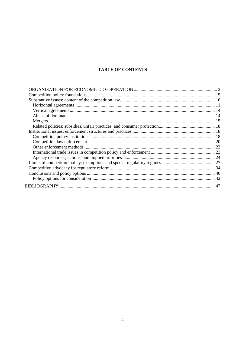## **TABLE OF CONTENTS**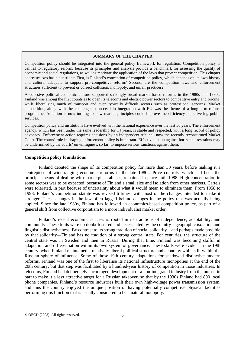#### **SUMMARY OF THE CHAPTER**

Competition policy should be integrated into the general policy framework for regulation. Competition policy is central to regulatory reform, because its principles and analysis provide a benchmark for assessing the quality of economic and social regulations, as well as motivate the application of the laws that protect competition. This chapter addresses two basic questions: First, is Finland's conception of competition policy, which depends on its own history and culture, adequate to support pro-competitive reform? Second, are the competition laws and enforcement structures sufficient to prevent or correct collusion, monopoly, and unfair practices?

A cohesive political-economic culture supported strikingly broad market-based reforms in the 1980s and 1990s. Finland was among the first countries to open its telecoms and electric power sectors to competitive entry and pricing, while liberalising much of transport and even typically difficult sectors such as professional services. Market competition, along with the challenge to succeed in integration with EU was the theme of a long-term reform programme. Attention is now turning to how market principles could improve the efficiency of delivering public services.

Competition policy and institutions have evolved with the national experience over the last 50 years. The enforcement agency, which has been under the same leadership for 14 years, is stable and respected, with a long record of policy advocacy. Enforcement action requires decisions by an independent tribunal, now the recently reconstituted Market Court. The courts' role in shaping enforcement policy is important. Effective action against horizontal restraints may be undermined by the courts' unwillingness, so far, to impose serious sanctions against them.

## **Competition policy foundations**

 Finland debated the shape of its competition policy for more than 30 years, before making it a centrepiece of wide-ranging economic reforms in the late 1980s. Price controls, which had been the principal means of dealing with marketplace abuses, remained in place until 1988. High concentration in some sectors was to be expected, because of Finland's small size and isolation from other markets. Cartels were tolerated, in part because of uncertainty about what it would mean to eliminate them. From 1958 to 1998, Finland's competition statute was revised 6 times, with most of the changes intended to make it stronger. These changes in the law often lagged behind changes in the policy that was actually being applied. Since the late 1980s, Finland has followed an economics-based competition policy, as part of a general shift from collective corporatism to a more individualist market order.

 Finland's recent economic success is rooted in its traditions of independence, adaptability, and community. These traits were no doubt fostered and necessitated by the country's geographic isolation and linguistic distinctiveness. By contrast to its strong tradition of social solidarity—and perhaps made possible by that solidarity—Finland has no tradition of a strong central state. For centuries, the structure of the central state was in Sweden and then in Russia. During that time, Finland was becoming skilful in adaptation and differentiation within its own system of governance. These skills were evident in the 19th century, when Finland maintained a relatively liberal political structure and economy while still within the Russian sphere of influence. Some of those 19th century adaptations foreshadowed distinctive modern reforms. Finland was one of the first to liberalise its national infrastructure monopolies at the end of the 20th century, but that step was facilitated by a hundred-year history of competition in those industries. In telecoms, Finland had deliberately encouraged development of a non-integrated industry from the outset, in part to make it a less attractive target for a Russian takeover, so that by the 1930s Finland had 800 local phone companies. Finland's resource industries built their own high-voltage power transmission system, and thus the country enjoyed the unique position of having potentially competitive physical facilities performing this function that is usually considered to be a natural monopoly.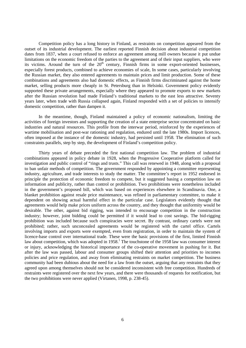Competition policy has a long history in Finland, as restraints on competition appeared from the outset of its industrial development. The earliest reported Finnish decision about industrial competition dates from 1837, when a court refused to enforce an agreement among mill owners because it put undue limitations on the economic freedom of the parties to the agreement and of their input suppliers, who were its victims. Around the turn of the  $20<sup>th</sup>$  century, Finnish firms in some export-oriented businesses, especially forest products, combined to achieve economies of scale, In some cases, particularly involving the Russian market, they also entered agreements to maintain prices and limit production. Some of these combinations and agreements also had domestic effects, as Finnish firms discriminated against the home market, selling products more cheaply in St. Petersburg than in Helsinki. Government policy evidently supported these private arrangements, especially where they appeared to promote exports to new markets after the Russian revolution had made Finland's traditional markets to the east less attractive. Seventy years later, when trade with Russia collapsed again, Finland responded with a set of policies to intensify domestic competition, rather than dampen it.

 In the meantime, though, Finland maintained a policy of economic nationalism, limiting the activities of foreign investors and supporting the creation of a state enterprise sector concentrated on basic industries and natural resources. This profile from the interwar period, reinforced by the experiences of wartime mobilisation and post-war rationing and regulation, endured until the late 1980s. Import licences, often imposed at the instance of the domestic industry, had persisted until 1958. The elimination of such constraints parallels, step by step, the development of Finland's competition policy.

 Thirty years of debate preceded the first national competition law. The problem of industrial combinations appeared in policy debate in 1928, when the Progressive Cooperative platform called for investigation and public control of "rings and trusts." This call was renewed in 1948, along with a proposal to ban unfair methods of competition. The government responded by appointing a committee representing industry, agriculture, and trade interests to study the matter. The committee's report in 1952 endorsed in principle the protection of economic freedom to compete, but it suggested basing a competition law on information and publicity, rather than control or prohibition. Two prohibitions were nonetheless included in the government's proposed bill, which was based on experiences elsewhere in Scandinavia. One, a blanket prohibition against resale price maintenance, was refined in parliamentary committee, to make it dependent on showing actual harmful effect in the particular case. Legislators evidently thought that agreements would help make prices uniform across the country, and they thought that uniformity would be desirable. The other, against bid rigging, was intended to encourage competition in the construction industry; however, joint bidding could be permitted if it would lead to cost savings. The bid-rigging prohibition was included because such conspiracies were secret. By contrast, ordinary cartels were not prohibited; rather, such unconcealed agreements would be registered with the cartel office. Cartels involving imports and exports were exempted, even from registration, in order to maintain the system of licence-base control over international trade. These were the basic provisions of the first, limited Finnish law about competition, which was adopted in 1958.<sup>1</sup> The touchstone of the 1958 law was consumer interest or injury, acknowledging the historical importance of the co-operative movement in pushing for it. But after the law was passed, labour and consumer groups shifted their attention and priorities to incomes policies and price regulation, and away from eliminating restraints on market competition. The business community had been dubious about the need for a law from the outset, arguing that any restraints that they agreed upon among themselves should not be considered inconsistent with free competition. Hundreds of restraints were registered over the next few years, and there were thousands of requests for notification, but the two prohibitions were never applied (Virtanen, 1998, p. 238-45).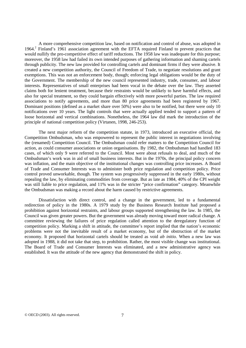A more comprehensive competition law, based on notification and control of abuse, was adopted in 1964.<sup>2</sup> Finland's 1961 association agreement with the EFTA required Finland to prevent practices that would nullify the pro-competitive effect of tariff reductions. The 1958 law was inadequate for this purpose; moreover, the 1958 law had failed its own intended purposes of gathering information and shaming cartels through publicity. The new law provided for controlling cartels and dominant firms if they were abusive. It created a new competition authority, the Council of Freedom of Trade, to negotiate resolutions and grant exemptions. This was not an enforcement body, though; enforcing legal obligations would be the duty of the Government. The membership of the new council represented industry, trade, consumer, and labour interests. Representatives of small enterprises had been vocal in the debate over the law. They asserted claims both for lenient treatment, because their restraints would be unlikely to have harmful effects, and also for special treatment, so they could bargain effectively with more powerful parties. The law required associations to notify agreements, and more than 80 price agreements had been registered by 1967. Dominant positions (defined as a market share over 50%) were also to be notified, but there were only 10 notifications over 10 years. The light controls that were actually applied tended to support a pattern of loose horizontal and vertical combinations. Nonetheless, the 1964 law did mark the introduction of the principle of national competition policy (Virtanen, 1998, 246-253).

 The next major reform of the competition statute, in 1973, introduced an executive official, the Competition Ombudsman, who was empowered to represent the public interest in negotiations involving the (renamed) Competition Council. The Ombudsman could refer matters to the Competition Council for action, as could consumer associations or union organisations. By 1982, the Ombudsman had handled 183 cases, of which only 9 were referred to the Council. Most were about refusals to deal, and much of the Ombudsman's work was in aid of small business interests. But in the 1970s, the principal policy concern was inflation, and the main objective of the institutional changes was controlling price increases. A Board of Trade and Consumer Interests was to administer both price regulation and competition policy. Price control proved unworkable, though. The system was progressively suppressed in the early 1980s, without repealing the law, by eliminating commodities from coverage. But as late as 1984, 40% of the CPI weight was still liable to price regulation, and 11% was in the stricter "price confirmation" category. Meanwhile the Ombudsman was making a record about the harm caused by restrictive agreements.

 Dissatisfaction with direct control, and a change in the government, led to a fundamental redirection of policy in the 1980s. A 1979 study by the Business Research Institute had proposed a prohibition against horizontal restraints, and labour groups supported strengthening the law. In 1985, the Council was given greater powers. But the government was already moving toward more radical change. A committee reviewing the failures of price regulation called attention to the deregulatory function of competition policy. Marking a shift in attitude, the committee's report implied that the nation's economic problems were not the inevitable result of a market economy, but of the obstruction of the market economy. It proposed that horizontal cartels should be treated as void *ab initio*. When a new law was adopted in 1988, it did not take that step, to prohibition. Rather, the most visible change was institutional. The Board of Trade and Consumer Interests was eliminated, and a new administrative agency was established. It was the attitude of the new agency that demonstrated the shift in policy.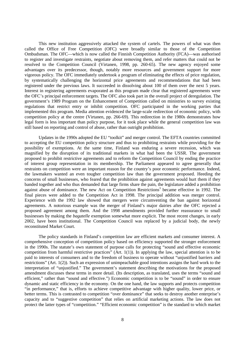This new institution aggressively attacked the system of cartels. The powers of what was then called the Office of Free Competition (OFC) were broadly similar to those of the Competition Ombudsman. The OFC—which is now called the Finnish Competition Authority (FCA)—was authorised to register and investigate restraints, negotiate about removing them, and refer matters that could not be resolved to the Competition Council (Virtanen, 1998, pp. 260-65). The new agency enjoyed some advantages over its predecessor, though, notably more resources and government support for more vigorous policy. The OFC immediately undertook a program of eliminating the effects of price regulation, by systematically challenging the horizontal price agreements and recommendations that had been registered under the previous laws. It succeeded in dissolving about 100 of them over the next 5 years. Interest in registering agreements evaporated as this program made clear that registered agreements were the OFC's principal enforcement targets. The OFC also took part in the overall project of deregulation. The government's 1989 Program on the Enhancement of Competition called on ministries to survey existing regulations that restrict entry or inhibit competition. OFC participated in the working parties that implemented this program. Media attention evidenced the large-scale redirection of economic policy, with competition policy at the centre (Virtanen, pp. 266-69). This redirection in the 1980s demonstrates how legal form is less important than policy purpose, for it took place while the general competition law was still based on reporting and control of abuse, rather than outright prohibition.

 Updates in the 1990s adopted the EU "toolkit" and merger control. The EFTA countries committed to accepting the EU competition policy structure and thus to prohibiting restraints while providing for the possibility of exemptions. At the same time, Finland was enduring a severe recession, which was magnified by the disruption of its traditional markets in what had been the USSR. The government proposed to prohibit restrictive agreements and to reform the Competition Council by ending the practice of interest group representation in its membership. The Parliament appeared to agree generally that restraints on competition were an important reason for the country's poor economic performance. Indeed, the lawmakers wanted an even tougher competition law than the government proposed. Heeding the concerns of small businesses, who feared that the prohibition against agreements would hurt them if they banded together and who thus demanded that large firms share the pain, the legislature added a prohibition against abuse of dominance. The new Act on Competition Restrictions<sup>3</sup> became effective in 1992. The final pieces were added to the Competition Act in 1998. The principal addition was merger control. Experience with the 1992 law showed that mergers were circumventing the ban against horizontal agreements. A notorious example was the merger of Finland's major dairies after the OFC rejected a proposed agreement among them. And the 1998 amendments provided further reassurance to small businesses by making the *bagatelle* exemption somewhat more explicit. The most recent changes, in early 2002, have been institutional. The Competition Council was replaced by a judicial body, the newly reconstituted Market Court.

 The policy standards in Finland's competition law are efficient markets and consumer interest. A comprehensive conception of competition policy based on efficiency supported the stronger enforcement in the 1990s. The statute's own statement of purpose calls for protecting "sound and effective economic competition from harmful restrictive practices" (Art. 1(1)). In applying the law, special attention is to be paid to interests of consumers and to the freedom of business to operate without "unjustified barriers and restrictions" (Art. 1(2)). Such an expression of unimpeachable good intentions assigns the hard work to the interpretation of "unjustified." The government's statement describing the motivations for the proposed amendment discusses these terms in more detail. (Its description, as translated, uses the terms "sound and efficient," rather than "sound and effective.") Economic competition is to be "sound" in order to ensure dynamic and static efficiency in the economy. On the one hand, the law supports and protects competition "in performance," that is, efforts to achieve competitive advantage with higher quality, lower price, or better terms. This is contrasted to competition "over dominance" that seeks to destroy another enterprise's capacity and to "suggestive competition" that relies on artificial marketing actions. The law does not protect the latter types of "competition." "Efficient economic competition" is the standard to which market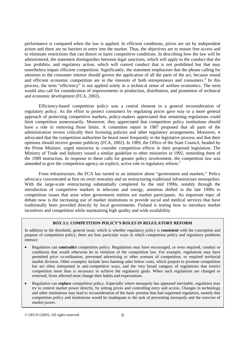performance is compared when the law is applied. In efficient conditions, prices are set by independent action and there are no barriers to entry into the market. Thus, the objectives are to ensure free access and to eliminate restrictions that can distort or harm competitive conditions. In describing how the law will be administered, the statement distinguishes between legal sanctions, which will apply to the conduct that the law prohibits, and regulatory action, which will control conduct that is not prohibited but that may nonetheless impair efficient competition. Significantly, the statement emphasises that the phrase calling for attention to the consumer interest should govern the application of all the parts of the act, because sound and efficient economic competition are in the interests of both entrepreneurs and consumers.<sup>4</sup> In this process, the term "efficiency" is not applied solely in a technical sense of welfare economics. The term would also call for consideration of improvements in production, distribution, and promotion of technical and economic development (FCA, 2002).

 Efficiency-based competition policy was a central element in a general reconsideration of regulatory policy. As the effort to protect consumers by regulating prices gave way to a more general approach of protecting competitive markets, policy-makers appreciated that remaining regulations could limit competition unnecessarily. Moreover, they appreciated that competition policy institutions should have a role in removing those limits. A committee report in 1987 proposed that all parts of the administration review critically their licensing policies and other regulatory arrangements. Moreover, it advocated that the competition authorities be heard more frequently in the legislative process and that their opinions should receive greater publicity (FCA, 2002). In 1989, the Office of the State Council, headed by the Prime Minister, urged ministries to consider competition effects in their proposed legislation. The Ministry of Trade and Industry issued a similar guideline to other ministries in 1992, reminding them of the 1989 instruction. In response to these calls for greater policy involvement, the competition law was amended to give the competition agency an explicit, active role in regulatory reform.<sup>5</sup>

 From infrastructure, the FCA has turned to an initiative about "government and markets." Policy advocacy concentrated at first on overt restraints and on restructuring traditional infrastructure monopolies. With the large-scale restructuring substantially completed by the mid 1990s, notably through the introduction of competitive markets in telecoms and energy, attention shifted in the late 1990s to competition issues that arise when government entities are market participants. An important topic of debate now is the increasing use of market institutions to provide social and medical services that have traditionally been provided directly by local governments. Finland is testing how to introduce market incentives and competition while maintaining high quality and wide availability.

## **BOX 3.1: COMPETITION POLICY'S ROLES IN REGULATORY REFORM**

In addition to the threshold, general issue, which is whether regulatory policy is **consistent** with the conception and purpose of competition policy, there are four particular ways in which competition policy and regulatory problems interact:

- - Regulation can **contradict** competition policy. Regulations may have encouraged, or even required, conduct or conditions that would otherwise be in violation of the competition law. For example, regulations may have permitted price co-ordination, prevented advertising or other avenues of competition, or required territorial market division. Other examples include laws banning sales below costs, which purport to promote competition but are often interpreted in anti-competitive ways, and the very broad category of regulations that restrict competition more than is necessary to achieve the regulatory goals. When such regulations are changed or removed, firms affected must change their habits and expectations.
- - Regulation can **replace** competition policy. Especially where monopoly has appeared inevitable, regulation may try to control market power directly, by setting prices and controlling entry and access. Changes in technology and other institutions may lead to reconsideration of the basic premise that had supported regulation, namely that competition policy and institutions would be inadequate to the task of preventing monopoly and the exercise of market power.

<sup>©</sup> OECD (2003). All rights reserved. 9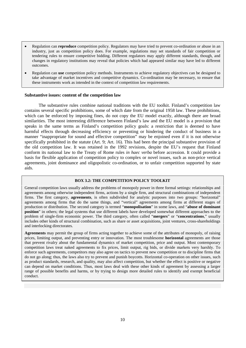- $\bullet$  Regulation can **reproduce** competition policy. Regulators may have tried to prevent co-ordination or abuse in an industry, just as competition policy does. For example, regulations may set standards of fair competition or tendering rules to ensure competitive bidding. Different regulators may apply different standards, though, and changes in regulatory institutions may reveal that policies which had appeared similar may have led to different outcomes.
- $\bullet$  Regulation can **use** competition policy methods. Instruments to achieve regulatory objectives can be designed to take advantage of market incentives and competitive dynamics. Co-ordination may be necessary, to ensure that these instruments work as intended in the context of competition law requirements.

## **Substantive issues: content of the competition law**

 The substantive rules combine national traditions with the EU toolkit. Finland's competition law contains several specific prohibitions, some of which date from the original 1958 law. These prohibitions, which can be enforced by imposing fines, do not copy the EU model exactly, although there are broad similarities. The most interesting difference between Finland's law and the EU model is a provision that speaks in the same terms as Finland's competition policy goals: a restriction that is deemed to have harmful effects through decreasing efficiency or preventing or hindering the conduct of business in a manner "inappropriate for sound and effective competition" may be enjoined even if it is not otherwise specifically prohibited in the statute (Art. 9; Art. 16). This had been the principal substantive provision of the old competition law. It was retained in the 1992 revisions, despite the EU's request that Finland conform its national law to the Treaty of Rome rules *in haec verba* before accession. It could provide a basis for flexible application of competition policy to complex or novel issues, such as non-price vertical agreements, joint dominance and oligopolistic co-ordination, or to unfair competition supported by state aids.

## **BOX 3.2: THE COMPETITION POLICY TOOLKIT**

General competition laws usually address the problems of monopoly power in three formal settings: relationships and agreements among otherwise independent firms, actions by a single firm, and structural combinations of independent firms. The first category, **agreements**, is often subdivided for analytic purposes into two groups: "horizontal" agreements among firms that do the same things, and "vertical" agreements among firms at different stages of production or distribution. The second category is termed "**monopolisation**" in some laws, and "**abuse of dominant position**" in others; the legal systems that use different labels have developed somewhat different approaches to the problem of single-firm economic power. The third category, often called "**mergers**" or "**concentrations**," usually includes other kinds of structural combination, such as share or asset acquisitions, joint ventures, cross-shareholdings and interlocking directorates.

**Agreements** may permit the group of firms acting together to achieve some of the attributes of monopoly, of raising prices, limiting output, and preventing entry or innovation. The most troublesome **horizontal** agreements are those that prevent rivalry about the fundamental dynamics of market competition, price and output. Most contemporary competition laws treat naked agreements to fix prices, limit output, rig bids, or divide markets very harshly. To enforce such agreements, competitors may also agree on tactics to prevent new competition or to discipline firms that do not go along; thus, the laws also try to prevent and punish boycotts. Horizontal co-operation on other issues, such as product standards, research, and quality, may also affect competition, but whether the effect is positive or negative can depend on market conditions. Thus, most laws deal with these other kinds of agreement by assessing a larger range of possible benefits and harms, or by trying to design more detailed rules to identify and exempt beneficial conduct.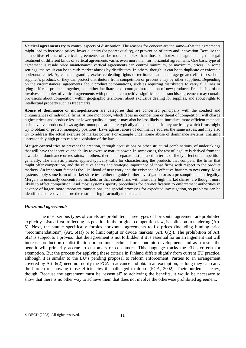**Vertical agreements** try to control aspects of distribution. The reasons for concern are the same—that the agreements might lead to increased prices, lower quantity (or poorer quality), or prevention of entry and innovation. Because the competitive effects of vertical agreements can be more complex than those of horizontal agreements, the legal treatment of different kinds of vertical agreements varies even more than for horizontal agreements. One basic type of agreement is resale price maintenance: vertical agreements can control minimum, or maximum, prices. In some settings, the result can be to curb market abuses by distributors. In others, though, it can be to duplicate or enforce a horizontal cartel. Agreements granting exclusive dealing rights or territories can encourage greater effort to sell the supplier's product, or they can protect distributors from competition or prevent entry by other suppliers. Depending on the circumstances, agreements about product combinations, such as requiring distributors to carry full lines or tying different products together, can either facilitate or discourage introduction of new products. Franchising often involves a complex of vertical agreements with potential competitive significance: a franchise agreement may contain provisions about competition within geographic territories, about exclusive dealing for supplies, and about rights to intellectual property such as trademarks.

**Abuse of dominance** or **monopolisation** are categories that are concerned principally with the conduct and circumstances of individual firms. A true monopoly, which faces no competition or threat of competition, will charge higher prices and produce less or lower quality output; it may also be less likely to introduce more efficient methods or innovative products. Laws against monopolisation are typically aimed at exclusionary tactics by which firms might try to obtain or protect monopoly positions. Laws against abuse of dominance address the same issues, and may also try to address the actual exercise of market power. For example under some abuse of dominance systems, charging unreasonably high prices can be a violation of the law.

**Merger control** tries to prevent the creation, through acquisitions or other structural combinations, of undertakings that will have the incentive and ability to exercise market power. In some cases, the test of legality is derived from the laws about dominance or restraints; in others, there is a separate test phrased in terms of likely effect on competition generally. The analytic process applied typically calls for characterising the products that compete, the firms that might offer competition, and the relative shares and strategic importance of those firms with respect to the product markets. An important factor is the likelihood of new entry and the existence of effective barriers to new entry. Most systems apply some form of market share test, either to guide further investigation or as a presumption about legality. Mergers in unusually concentrated markets, or that create firms with unusually high market shares, are thought more likely to affect competition. And most systems specify procedures for pre-notification to enforcement authorities in advance of larger, more important transactions, and special processes for expedited investigation, so problems can be identified and resolved before the restructuring is actually undertaken.

## *Horizontal agreements*

 The most serious types of cartels are prohibited. Three types of horizontal agreement are prohibited explicitly. Listed first, reflecting its position in the original competition law, is collusion in tendering (Art. 5). Next, the statute specifically forbids horizontal agreements to fix prices (including binding price "recommendations") (Art.  $6(1)$ ) or to limit output or divide markets (Art.  $6(2)$ ). The prohibition of Art. 6(2) is subject to a proviso, that the agreement is not forbidden if it is essential for an arrangement that will increase production or distribution or promote technical or economic development, and as a result the benefit will primarily accrue to customers or consumers. This language tracks the EU's criteria for exemption. But the process for applying these criteria in Finland differs slightly from current EU practice, although it is similar to the EU's pending proposal to reform enforcement. Parties to an arrangement covered by Art. 6(2) need not notify the FCA in advance and obtain an exemption, as long they can carry the burden of showing those efficiencies if challenged to do so (FCA, 2002). Their burden is heavy, though. Because the agreement must be "essential" to achieving the benefits, it would be necessary to show that there is no other way to achieve them that does not involve the otherwise prohibited agreement.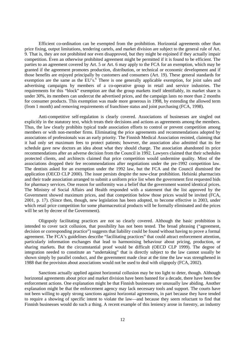Efficient co-ordination can be exempted from the prohibition. Horizontal agreements other than price fixing, output limitations, tendering cartels, and market division are subject to the general rule of Art. 9. That is, they are not prohibited nor even disapproved, but they might be enjoined if they actually impair competition. Even an otherwise prohibited agreement might be permitted if it is found to be efficient. The parties to an agreement covered by Art. 5 or Art. 6 may apply to the FCA for an exemption, which may be granted if the agreement promotes production, distribution, or technical or economic development and if those benefits are enjoyed principally by customers and consumers (Art. 19). These general standards for exemption are the same as the EU's.<sup>6</sup> There is one generally applicable exemption, for joint sales and advertising campaigns by members of a co-operative group in retail and service industries. The requirements for this "block" exemption are that the group markets itself identifiably, its market share is under 30%, its members can undercut the advertised prices, and the campaign lasts no more than 2 months for consumer products. This exemption was made more generous in 1998, by extending the allowed term (from 1 month) and removing requirements of franchisee status and joint purchasing (FCA, 1998).

 Anti-competitive self-regulation is clearly covered. Associations of businesses are singled out explicitly in the statutory text, which treats their decisions and actions as agreements among the members. Thus, the law clearly prohibits typical trade association efforts to control or prevent competition among members or with non-member firms. Eliminating the price agreements and recommendations adopted by associations of professionals was an early priority. The Finnish Medical Association resisted, claiming that it had only set maximum fees to protect patients; however, the association also admitted that its fee schedule gave new doctors an idea about what they should charge. The association abandoned its price recommendations after an adverse decision from the Council in 1992. Lawyers claimed that their schedules protected clients, and architects claimed that price competition would undermine quality. Most of the associations dropped their fee recommendations after negotiations under the pre-1992 competition law. The dentists asked for an exemption under the 1992 law, but the FCA and the Council dismissed the application (OECD CLP 2000). The issue persists despite the now-clear prohibition. Helsinki pharmacists and their trade association arranged to submit a uniform price list when the government first requested bids for pharmacy services. One reason for uniformity was a belief that the government wanted identical prices. The Ministry of Social Affairs and Health responded with a statement that the list approved by the Government showed maximum prices, and that competition below those prices would be invited (FCA, 2001, p. 17). (Since then, though, new legislation has been adopted, to become effective in 2003, under which retail price competition for some pharmaceutical products will be formally eliminated and the prices will be set by decree of the Government).

 Oligopoly facilitating practices are not so clearly covered. Although the basic prohibition is intended to cover tacit collusion, that possibility has not been tested. The broad phrasing ("agreement, decision or corresponding practice") suggests that liability could be found without having to prove a formal agreement. The FCA's guidelines describe "facilitating practices" that could attract enforcement attention, particularly information exchanges that lead to harmonising behaviour about pricing, production, or sharing markets. But the circumstantial proof would be difficult (OECD CLP 1999). The degree of integration needed to constitute an "undertaking" that is directly subject to the law cannot usually be shown simply by parallel conduct, and the government made clear at the time the law was strengthened in 1988 that the provision about associations would not be used to deal with oligopoly (FCA, 2002).

 Sanctions actually applied against horizontal collusion may be too light to deter, though. Although horizontal agreements about price and market division have been banned for a decade, there have been few enforcement actions. One explanation might be that Finnish businesses are unusually law abiding. Another explanation might be that the enforcement agency may lack necessary tools and support. The courts have not been willing to apply strong sanctions against horizontal agreements, in part because they have tended to require a showing of specific intent to violate the law—and because they seem reluctant to find that Finnish businesses would do such a thing. A recent example of this leniency arose in forestry, an industry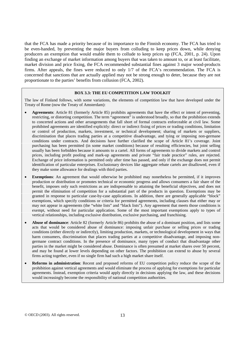that the FCA has made a priority because of its importance to the Finnish economy. The FCA has tried to be even-handed, by preventing the major buyers from colluding to keep prices down, while denying producers an exemption that would enable them to collude to keep prices up (FCA, 2001, p. 24). Upon finding an exchange of market information among buyers that was taken to amount to, or at least facilitate, market division and price fixing, the FCA recommended substantial fines against 3 major wood-products firms. After appeals, the fines were reduced to only 1/7 of the FCA's recommendation. The FCA is concerned that sanctions that are actually applied may not be strong enough to deter, because they are not proportionate to the parties' benefits from collusion (FCA, 2002).

## **BOX 3.3: THE EU COMPETITION LAW TOOLKIT**

The law of Finland follows, with some variations, the elements of competition law that have developed under the Treaty of Rome (now the Treaty of Amsterdam):

- $\bullet$  **Agreements**: Article 81 (formerly Article 85) prohibits agreements that have the effect or intent of preventing, restricting, or distorting competition. The term "agreement" is understood broadly, so that the prohibition extends to concerted actions and other arrangements that fall short of formal contracts enforceable at civil law. Some prohibited agreements are identified explicitly: direct or indirect fixing of prices or trading conditions, limitation or control of production, markets, investment, or technical development; sharing of markets or suppliers, discrimination that places trading parties at a competitive disadvantage, and tying or imposing non-germane conditions under contracts. And decisions have further clarified the scope of Article 81's coverage. Joint purchasing has been permitted (in some market conditions) because of resulting efficiencies, but joint selling usually has been forbidden because it amounts to a cartel. All forms of agreements to divide markets and control prices, including profit pooling and mark-up agreements and private "fair trade practice" rules, are rejected. Exchange of price information is permitted only after time has passed, and only if the exchange does not permit identification of particular enterprises. Exclusionary devices like aggregate rebate cartels are disallowed, even if they make some allowance for dealings with third parties.
- $\bullet$ **Exemptions:** An agreement that would otherwise be prohibited may nonetheless be permitted, if it improves production or distribution or promotes technical or economic progress and allows consumers a fair share of the benefit, imposes only such restrictions as are indispensable to attaining the beneficial objectives, and does not permit the elimination of competition for a substantial part of the products in question. Exemptions may be granted in response to particular case-by-case applications. In addition, there are generally applicable "block" exemptions, which specify conditions or criteria for permitted agreements, including clauses that either may or may not appear in agreements (the "white lists" and "black lists"). Any agreement that meets those conditions is exempt, without need for particular application. Some of the most important exemptions apply to types of vertical relationships, including exclusive distribution, exclusive purchasing, and franchising.
- $\bullet$  **Abuse of dominance**: Article 82 (formerly Article 86) prohibits the abuse of a dominant position, and lists some acts that would be considered abuse of dominance: imposing unfair purchase or selling prices or trading conditions (either directly or indirectly), limiting production, markets, or technological development in ways that harm consumers, discrimination that places trading parties at a competitive disadvantage, and imposing nongermane contract conditions. In the presence of dominance, many types of conduct that disadvantage other parties in the market might be considered abuse. Dominance is often presumed at market shares over 50 percent, and may be found at lower levels depending on other factors. The prohibition can extend to abuse by several firms acting together, even if no single firm had such a high market share itself.
- $\bullet$  **Reforms in administration**: Recent and proposed reforms of EU competition policy reduce the scope of the prohibition against vertical agreements and would eliminate the process of applying for exemptions for particular agreements. Instead, exemption criteria would apply directly in decisions applying the law, and these decisions would increasingly become the responsibility of national competition authorities.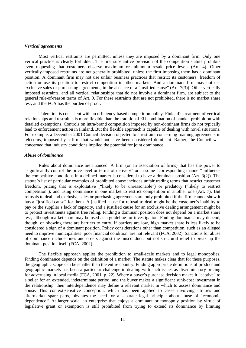#### *Vertical agreements*

 Most vertical restraints are permitted, unless they are imposed by a dominant firm. Only one vertical practice is clearly forbidden. The first substantive provision of the competition statute prohibits even requesting that customers observe maximum or minimum resale price levels (Art. 4). Other vertically-imposed restraints are not generally prohibited, unless the firm imposing them has a dominant position. A dominant firm may not use unfair business practices that restrict its customers' freedom of action or use its position to restrict competition in other markets. And a dominant firm may not use exclusive sales or purchasing agreements, in the absence of a "justified cause" (Art. 7(3)). Other vertically imposed restraints, and all vertical relationships that do not involve a dominant firm, are subject to the general rule-of-reason terms of Art. 9. For these restraints that are not prohibited, there is no market share test, and the FCA has the burden of proof.

 Toleration is consistent with an efficiency-based competition policy. Finland's treatment of vertical relationships and restraints is more flexible than the traditional EU combination of blanket prohibition with detailed exemptions. Controls on intra-brand competition imposed by non-dominant firms do not typically lead to enforcement action in Finland. But the flexible approach is capable of dealing with novel situations. For example, a December 2001 Council decision objected to a restraint concerning roaming agreements in telecoms, imposed by a firm that would not have been considered dominant. Rather, the Council was concerned that industry conditions implied the potential for joint dominance.

## *Abuse of dominance*

 Rules about dominance are nuanced. A firm (or an association of firms) that has the power to "significantly control the price level or terms of delivery" or in some "corresponding manner" influence the competitive conditions in a defined market is considered to have a dominant position (Art. 3(2)). The statute's list of particular examples of prohibited abuse includes unfair trading terms that restrict customer freedom, pricing that is exploitative ("likely to be unreasonable") or predatory ("likely to restrict competition"), and using dominance in one market to restrict competition in another one (Art. 7). But refusals to deal and exclusive sales or purchasing agreements are only prohibited if the firm cannot show it has a "justified cause" for them. A justified cause for refusal to deal might be the customer's inability to pay or the supplier's lack of capacity, and a justified cause for an exclusive dealing arrangement might be to protect investments against free riding. Finding a dominant position does not depend on a market share test, although market share may be used as a guideline for investigation. Finding dominance may depend, though, on showing there are barriers to entry. If barriers are low, high market share is less likely to be considered a sign of a dominant position. Policy considerations other than competition, such as an alleged need to improve municipalities' poor financial condition, are not relevant (FCA, 2002). Sanctions for abuse of dominance include fines and orders against the misconduct, but not structural relief to break up the dominant position itself (FCA, 2002).

 The flexible approach applies the prohibition to small-scale markets and to legal monopolies. Finding dominance depends on the definition of a market. The statute makes clear that for these purposes, the geographic scope can be smaller than the entire country. Finding appropriate definitions of product and geographic markets has been a particular challenge in dealing with such issues as discriminatory pricing for advertising in local media (FCA, 2001, p. 22). Where a buyer's purchase decision makes it "captive" to a seller for an extended, indeterminate period, and the buyer makes a significant sunk-cost investment in the relationship, their interdependence may define a relevant market in which to assess dominance and abuse. This context-sensitive conception, which has been applied to cases involving utilities and aftermarket spare parts, obviates the need for a separate legal principle about abuse of "economic dependence." At larger scale, an enterprise that enjoys a dominant or monopoly position by virtue of legislative grant or exemption is still prohibited from trying to extend its dominance by limiting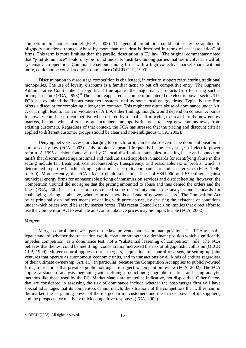competition in another market (FCA, 2002). The general prohibition could not easily be applied to oligopoly situations, though. Abuse by more than one firm is described in terms of an "association" of firms. This term is more limiting than the parallel description in EU law.<sup>7</sup> The original commentary noted that "joint dominance" could only be found under Finnish law among parties that are involved in wilful, systematic co-operation. Common behaviour among firms with a high collective market share, without more, could not be considered joint dominance (OECD CLP, 1999).

 Discrimination to discourage competition is challenged, in order to support restructuring traditional monopolies. The use of loyalty discounts is a familiar tactic to put off competitive entry. The Supreme Administrative Court upheld a significant fine against the major dairy products firm for using such a pricing structure (FCA, 1998).<sup>8</sup> The tactic reappeared as competition entered the electric power sector. The FCA has examined the "bonus customer" system used by some local energy firms. Typically, the firm offers a discount for completing a long-term contract. This might constitute abuse of dominance under Art. 7, or it might lead to harm in violation of Art. 9; either finding, though, would depend on context. A bonus for loyalty could be pro-competitive when offered by a smaller firm trying to break into the new energy markets, but not when offered by an incumbent monopolist in order to keep new entrants away from existing customers. Regardless of that context, the FCA has stressed that the pricing and discount criteria applied to different customer groups should be clear and non-ambiguous (FCA, 2002).

 Denying network access, or charging too much for it, can be abuse even if the dominant position is authorised by law (FCA, 2002). This problem appeared frequently in the early stages of electric power reform. A 1995 decision found abuse by 71 local distribution companies in setting basic and connection tariffs that discriminated against small and medium sized suppliers. Standards for identifying abuse in this setting include fair treatment, cost accountability, transparency, and reasonableness of profits, which is determined in part by benchmarking against other electricity companies or similar enterprises (FCA, 1996, p. 100). More recently, the FCA tried to obtain substantial fines, of  $\epsilon$ 841,000 and  $\epsilon$ 5 million, against municipal energy firms for unreasonable pricing of transmission services and district heating; however, the Competition Council did not agree that the pricing amounted to abuse and thus denied the orders and the fines (FCA, 2002). That decision has created some uncertainty about the analysis and standards for challenging pricing as abusive, whether or not there is an issue of network access.<sup>9</sup> The Competition Act relies principally on indirect means of dealing with price abuses, by ensuring the existence of conditions under which prices would be set by market forces. This recent Council decision implies that direct effort to use the Competition Act to evaluate and control abusive prices may be impracticable (FCA, 2002).

## *Mergers*

 Merger control, the newest part of the law, prevents market-dominant positions. The FCA treats the legal standard, whether the transaction would create or strengthen a dominant position which significantly impedes competition, as a dominance test, not a "substantial lessening of competition" rule. The FCA believes that the test could be met if high concentration increased the risk of oligopolistic collusion (OECD CLP, 1999). Merger control applies to true mergers, acquisitions of control or assets, or setting up joint ventures that operate as autonomous economic units, and to transactions by all kinds of entities regardless of their ultimate ownership (Art. 11). In particular, because the Competition Act applies to publicly-owned firms, transactions that privatise public holdings are subject to competition review (FCA, 2002). The FCA applies a standard analysis, beginning with defining product and geographic markets and using analytic methods like those used by the EC. Market shares are treated as indicative, not dispositive. Other factors that are considered in assessing the risk of dominance include whether the post-merger firm will have special advantages that its competitors cannot match, the situations of the competitors that will remain in the market, the bargaining power of the merged firm's customers and the market power of its suppliers, and the prospects for relatively quick competitive responses (FCA, 2002).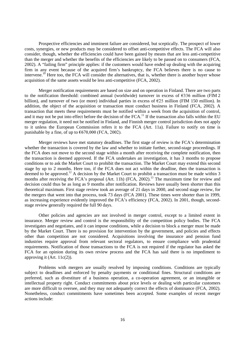Prospective efficiencies and imminent failure are considered, but sceptically. The prospect of lower costs, synergies, or new products may be considered to offset anti-competitive effects. The FCA will also consider, though, whether the efficiencies could have been gained by means that are less anti-competitive than the merger and whether the benefits of the efficiencies are likely to be passed on to consumers (FCA, 2002). A "failing firm" principle applies: if the customers would have ended up dealing with the acquiring firm in any event because of the acquired firm's bankruptcy, the FCA believes there is no cause to intervene.<sup>10</sup> Here too, the FCA will consider the alternatives, that is, whether there is another buyer whose acquisition of the same assets would be less anti-competitive (FCA, 2002).

 Merger notification requirements are based on size and on operation in Finland. There are two parts to the notification threshold: combined annual (worldwide) turnover in excess of  $\epsilon$ 336 million (FIM 2 billion), and turnover of two (or more) individual parties in excess of  $\epsilon$ 25 million (FIM 150 million). In addition, the object of the acquisition or transaction must conduct business in Finland (FCA, 2002). A transaction that meets these requirements must be notified within a week from the acquisition of control, and it may not be put into effect before the decision of the FCA.<sup>11</sup> If the transaction also falls within the EU merger regulation, it need not be notified in Finland, and Finnish merger control jurisdiction does not apply to it unless the European Commission refers it to the FCA (Art. 11a). Failure to notify on time is punishable by a fine, of up to  $\epsilon$ 670,000 (FCA, 2002).

 Merger reviews have met statutory deadlines. The first stage of review is the FCA's determination whether the transaction is covered by the law and whether to initiate further, second-stage proceedings. If the FCA does not move to the second stage within a month after receiving the complete notification, then the transaction is deemed approved. If the FCA undertakes an investigation, it has 3 months to propose conditions or to ask the Market Court to prohibit the transaction. The Market Court may extend this second stage by up to 2 months. Here too, if the FCA does not act within the deadline, then the transaction is deemed to be approved.<sup>12</sup> A decision by the Market Court to prohibit a transaction must be made within 3 months after receiving the FCA's proposal (Art. 11h) (FCA, 2002).<sup>13</sup> The maximum time for review and decision could thus be as long as  $\overline{9}$  months after notification. Reviews have usually been shorter than this theoretical maximum. First stage review took an average of 21 days in 2000, and second stage review, for the mergers that went into that process, took 73 days (FCA 2001). These times were shorter than in 1999, as increasing experience evidently improved the FCA's efficiency (FCA, 2002). In 2001, though, secondstage review generally required the full 90 days.

 Other policies and agencies are not involved in merger control, except to a limited extent in insurance. Merger review and control is the responsibility of the competition policy bodies. The FCA investigates and negotiates, and it can impose conditions, while a decision to block a merger must be made by the Market Court. There is no provision for intervention by the government, and policies and effects other than competition are not considered. Acquisitions involving the insurance and pension fund industries require approval from relevant sectoral regulators, to ensure compliance with prudential requirements. Notification of those transactions to the FCA is not required if the regulator has asked the FCA for an opinion during its own review process and the FCA has said there is no impediment to approving it  $(Art. 11c(2))$ .

 Problems with mergers are usually resolved by imposing conditions. Conditions are typically subject to deadlines and enforced by penalty payments or conditional fines. Structural conditions are preferred, such as divestiture of a business operation, a co-operation agreement, or an intangible or intellectual property right. Conduct commitments about price levels or dealing with particular customers are more difficult to oversee, and they may not adequately correct the effects of dominance (FCA, 2002). Nonetheless, conduct commitments have sometimes been accepted. Some examples of recent merger actions include: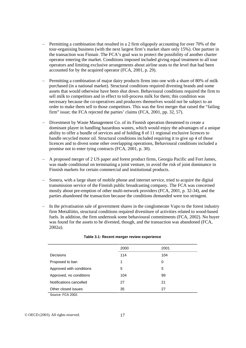- Permitting a combination that resulted in a 2 firm oligopoly accounting for over 70% of the tour-organising business (with the next largest firm's market share only 15%). One partner in the transaction was Finnair. The FCA's goal was to protect the possibility of another charter operator entering the market. Conditions imposed included giving equal treatment to all tour operators and limiting exclusive arrangements about airline seats to the level that had been accounted for by the acquired operator (FCA, 2001, p. 29).
- Permitting a combination of major dairy products firms into one with a share of 80% of milk purchased (in a national market). Structural conditions required divesting brands and some assets that would otherwise have been shut down. Behavioural conditions required the firm to sell milk to competitors and in effect to toll-process milk for them; this condition was necessary because the co-operatives and producers themselves would not be subject to an order to make them sell to those competitors. This was the first merger that raised the "failing firm" issue; the FCA rejected the parties' claims (FCA, 2001, pp. 32, 57).
- Divestment by Waste Management Co. of its Finnish operation threatened to create a dominant player in handling hazardous wastes, which would enjoy the advantages of a unique ability to offer a bundle of services and of holding 8 of 11 regional exclusive licences to handle recycled motor oil. Structural conditions included requiring it to give up 4 of those licences and to divest some other overlapping operations, Behavioural conditions included a promise not to enter tying contracts (FCA, 2001, p. 30).
- A proposed merger of 2 US paper and forest product firms, Georgia Pacific and Fort James, was made conditional on terminating a joint venture, to avoid the risk of joint dominance in Finnish markets for certain commercial and institutional products.
- Sonera, with a large share of mobile phone and internet service, tried to acquire the digital transmission service of the Finnish public broadcasting company. The FCA was concerned mostly about pre-emption of other multi-network providers (FCA, 2001, p. 32-34), and the parties abandoned the transaction because the conditions demanded were too stringent.
- In the privatisation sale of government shares in the conglomerate Vapo to the forest industry firm Metsäliitto, structural conditions required divestiture of activities related to wood-based fuels. In addition, the firm undertook some behavioural commitments (FCA, 2002). No buyer was found for the assets to be divested, though, and the transaction was abandoned (FCA, 2002*a*).

|                          | 2000 | 2001 |  |
|--------------------------|------|------|--|
| Decisions                | 114  | 104  |  |
| Proposed to ban          | 1    | 0    |  |
| Approved with conditions | 5    | 5    |  |
| Approved, no conditions  | 104  | 99   |  |
| Notifications cancelled  | 27   | 21   |  |
| Other closed issues      | 35   | 27   |  |
| Source: FCA 2002.        |      |      |  |

## **Table 3.1: Recent merger review experience**

© OECD (2003). All rights reserved. 17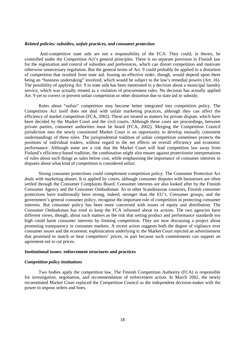## *Related policies: subsidies, unfair practices, and consumer protection*

 Anti-competitive state aids are not a responsibility of the FCA. They could, in theory, be controlled under the Competition Act's general principles. There is no separate provision in Finnish law for the registration and control of subsidies and preferences, which can distort competition and motivate otherwise unnecessary regulation. But the general terms of Art. 9 could probably be applied to a distortion of competition that resulted from state aid. Issuing an effective order, though, would depend upon there being an "business undertaking" involved, which would be subject to the law's remedial powers (Art. 16). The possibility of applying Art. 9 to state aids has been mentioned in a decision about a municipal laundry service, which was actually treated as a violation of procurement rules. No decision has actually applied Art. 9 yet to correct or prevent unfair competition or other distortion due to state aid or subsidy.

 Rules about "unfair" competition may become better integrated into competition policy. The Competition Act itself does not deal with unfair marketing practices, although they can affect the efficiency of market competition (FCA, 2002). These are treated as matters for private dispute, which have been decided by the Market Court and the civil courts. Although these cases are proceedings, between private parties, consumer authorities must be heard (FCA, 2002). Merging the Competition Council jurisdiction into the newly constituted Market Court is an opportunity to develop mutually consistent understandings of these rules. The jurisprudential tradition of unfair competition sometimes protects the positions of individual traders, without regard to the net effects on overall efficiency and economic performance. Although some see a risk that the Market Court will lead competition law away from Finland's efficiency-based tradition, the combination might also ensure against protectionist interpretations of rules about such things as sales below cost, while emphasising the importance of consumer interests in disputes about what kind of competition is considered unfair.

 Strong consumer protections could complement competition policy. The Consumer Protection Act deals with marketing abuses. It is applied by courts, although consumer disputes with businesses are often settled through the Consumer Complaints Board. Consumer interests are also looked after by the Finnish Consumer Agency and the Consumer Ombudsman. As in other Scandinavian countries, Finnish consumer protections have traditionally been strong, indeed, stronger than the EU's. Consumer groups, and the government's general consumer policy, recognise the important role of competition in protecting consumer interests. But consumer policy has been more concerned with issues of equity and distribution. The Consumer Ombudsman has tried to keep the FCA informed about its actions. The two agencies have different views, though, about such matters as the risk that setting product and performance standards too high could harm consumer interests by limiting competition. They are now discussing a project about promoting transparency in consumer markets. A recent action suggests both the degree of vigilance over consumer issues and the economic sophistication underlying it: the Market Court rejected an advertisement that promised to match or beat competitors' prices, in part because such commitments can support an agreement not to cut prices.

## **Institutional issues: enforcement structures and practices**

## *Competition policy institutions*

 Two bodies apply the competition law. The Finnish Competition Authority (FCA) is responsible for investigation, negotiation, and recommendation of enforcement action. In March 2002, the newly reconstituted Market Court replaced the Competition Council as the independent decision-maker with the power to impose orders and fines.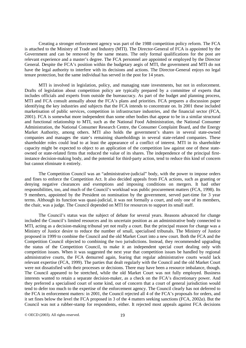Creating a stronger enforcement agency was part of the 1988 competition policy reform. The FCA is attached to the Ministry of Trade and Industry (MTI). The Director-General of FCA is appointed by the Government and can be removed by the same means. The only formal qualifications for the post are relevant experience and a master's degree. The FCA personnel are appointed or employed by the Director General. Despite the FCA's position within the budgetary aegis of MTI, the government and MTI do not have the legal authority to interfere with its decisions and actions. The Director-General enjoys no legal tenure protection, but the same individual has served in the post for 14 years.

 MTI is involved in legislation, policy, and managing state investments, but not in enforcement. Drafts of legislation about competition policy are typically prepared by a committee of experts that includes officials and experts from outside the bureaucracy. As part of the budget and planning process, MTI and FCA consult annually about the FCA's plans and priorities. FCA prepares a discussion paper identifying the key industries and subjects that the FCA intends to concentrate on. In 2001 these included marketisation of public services, competition in infrastructure industries, and the financial sector (FCA, 2001). FCA is somewhat more independent than some other bodies that appear to be in a similar structural and functional relationship to MTI, such as the National Food Administration, the National Consumer Administration, the National Consumer Research Centre, the Consumer Complaint Board, and the Energy Market Authority, among others. MTI also holds the government's shares in several state-owned companies and manages the state's remaining shareholdings in several state-related companies. These shareholder roles could lead to at least the appearance of a conflict of interest. MTI in its shareholder capacity might be expected to object to an application of the competition law against one of these stateowned or state-related firms that reduced the value of its shares. The independence of the principal firstinstance decision-making body, and the potential for third-party action, tend to reduce this kind of concern but cannot eliminate it entirely.

 The Competition Council was an "administrative-judicial" body, with the power to impose orders and fines to enforce the Competition Act. It also decided appeals from FCA actions, such as granting or denying negative clearances and exemptions and imposing conditions on mergers. It had other responsibilities, too, and much of the Council's workload was public procurement matters (FCA, 1998). Its 9 members, appointed by the President on nomination by the government, served part-time for 3 year terms. Although its function was quasi-judicial, it was not formally a court, and only one of its members, the chair, was a judge. The Council depended on MTI for resources to support its small staff.

 The Council's status was the subject of debate for several years. Reasons advanced for change included the Council's limited resources and its uncertain position as an administrative body connected to MTI, acting as a decision-making tribunal yet not really a court. But the principal reason for change was a Ministry of Justice desire to reduce the number of small, specialised tribunals. The Ministry of Justice proposed in 1999 to combine the Council and the old Market Court into a new court. Both the FCA and the Competition Council objected to combining the two jurisdictions. Instead, they recommended upgrading the status of the Competition Council, to make it an independent special court dealing only with competition issues. When it was suggested the next year that competition issues be handled by regional administrative courts, the FCA demurred again, fearing that regular administrative courts would lack relevant expertise (FCA, 1999). The parties that dealt regularly with the Council and the old Market Court were not dissatisfied with their processes or decisions. There may have been a resource imbalance, though. The Council appeared to be stretched, while the old Market Court was not fully employed. Business interests wanted to retain a separate decision-maker, as a check on the FCA's discretionary power. And they preferred a specialised court of some kind, out of concern that a court of general jurisdiction would tend to defer too much to the expertise of the enforcement agency. The Council clearly has not deferred to the FCA in enforcement matters: in 2001, the Council rejected all 4 of the FCA's proposals for orders, and it set fines below the level the FCA proposed in 3 of the 4 matters seeking sanctions (FCA, 2002*a*). But the Council was not a rubber-stamp for respondents, either. It rejected most appeals against FCA decisions

© OECD (2003). All rights reserved. 19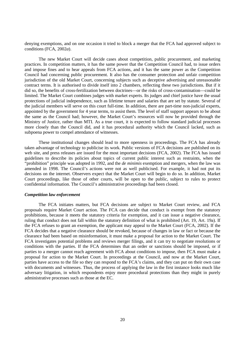denying exemptions, and on one occasion it tried to block a merger that the FCA had approved subject to conditions (FCA, 2002*a*).

 The new Market Court will decide cases about competition, public procurement, and marketing practices. In competition matters, it has the same power that the Competition Council had, to issue orders and impose fines and to hear appeals from FCA actions, and it has the same power as the Competition Council had concerning public procurement. It also has the consumer protection and unfair competition jurisdiction of the old Market Court, concerning subjects such as deceptive advertising and unreasonable contract terms. It is authorised to divide itself into 2 chambers, reflecting these two jurisdictions. But if it did so, the benefits of cross-fertilization between doctrines—or the risks of cross-contamination—could be limited. The Market Court combines judges with market experts. Its judges and chief justice have the usual protections of judicial independence, such as lifetime tenure and salaries that are set by statute. Several of the judicial members will serve on this court full-time. In addition, there are part-time non-judicial experts, appointed by the government for 4 year terms, to assist them. The level of staff support appears to be about the same as the Council had; however, the Market Court's resources will now be provided through the Ministry of Justice, rather than MTI. As a true court, it is expected to follow standard judicial processes more closely than the Council did, and it has procedural authority which the Council lacked, such as subpoena power to compel attendance of witnesses.

 These institutional changes should lead to more openness in proceedings. The FCA has already taken advantage of technology to publicise its work. Public versions of FCA decisions are published on its web site, and press releases are issued for the most important decisions (FCA, 2002). The FCA has issued guidelines to describe its policies about topics of current public interest such as restraints, when the "prohibition" principle was adopted in 1992, and the *de minimis* exemption and mergers, when the law was amended in 1998. The Council's actions were not as well publicised. For example, it had not put its decisions on the internet. Observers expect that the Market Court will begin to do so. In addition, Market Court proceedings, like those of other courts, will be open to the public, subject to rules to protect confidential information. The Council's administrative proceedings had been closed.

## *Competition law enforcement*

 The FCA initiates matters, but FCA decisions are subject to Market Court review, and FCA proposals require Market Court action. The FCA can decide that conduct is exempt from the statutory prohibitions, because it meets the statutory criteria for exemption, and it can issue a negative clearance, ruling that conduct does not fall within the statutory definition of what is prohibited (Art. 19, Art. 19a). If the FCA refuses to grant an exemption, the applicant may appeal to the Market Court (FCA, 2002). If the FCA decides that a negative clearance should be revoked, because of changes in law or fact or because the clearance had been based on misinformation, it must make a proposal for action to the Market Court. The FCA investigates potential problems and reviews merger filings, and it can try to negotiate resolutions or conditions with the parties. If the FCA determines that an order or sanctions should be imposed, or if parties to a merger cannot reach agreement with FCA about conditions to impose, then FCA must make a proposal for action to the Market Court. In proceedings at the Council, and now at the Market Court, parties have access to the file so they can respond to the FCA's claims, and they can put on their own case with documents and witnesses. Thus, the process of applying the law in the first instance looks much like adversary litigation, in which respondents enjoy more procedural protections than they might in purely administrative processes such as those at the EC.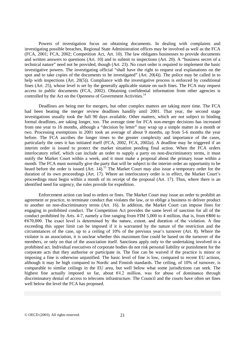Powers of investigation focus on obtaining documents. In dealing with complaints and investigating possible breaches, Regional State Administration offices may be involved as well as the FCA (FCA, 2001; FCA, 2002; Competition Act, Art. 10). The law obligates businesses to provide documents and written answers to questions (Art. 10) and to submit to inspections (Art. 20). A "business secret of a technical nature" need not be provided, though (Art. 23). No court order is required to implement the basic investigative powers. The investigating official "shall have the right to request oral explanations on the spot and to take copies of the documents to be investigated" (Art. 20(4)). The police may be called in to help with inspections (Art. 20(5)). Compliance with the investigative process is enforced by conditional fines (Art. 25), whose level is set by the generally applicable statute on such fines. The FCA may request access to public documents (FCA, 2002). Obtaining confidential information from other agencies is controlled by the Act on the Openness of Government Activities.<sup>14</sup>

 Deadlines are being met for mergers, but other complex matters are taking more time. The FCA had been beating the merger review deadlines handily until 2001. That year, the second stage investigations usually took the full 90 days available. Other matters, which are not subject to binding formal deadlines, are taking longer, too. The average time for FCA non-merger decisions has increased from one year to 16 months, although a "decision by letter" may wrap up a simple matter in a month or two. Processing exemptions in 2001 took an average of about 9 months, up from 5-6 months the year before. The FCA ascribes the longer times to the greater complexity and importance of the cases, particularly the ones it has initiated itself (FCA, 2002, FCA, 2002*a*). A deadline may be triggered if an interim order is issued to protect the market situation pending final action. When the FCA orders interlocutory relief, which can include an order to supply a party on non-discriminatory terms, it must notify the Market Court within a week, and it must make a proposal about the primary issue within a month. The FCA must normally give the party that will be subject to the interim order an opportunity to be heard before the order is issued (Art. 14).<sup>15</sup> The Market Court may also issue a temporary order for the duration of its own proceedings (Art. 17). Where an interlocutory order is in effect, the Market Court's proceedings must begin within a month of its receipt of the proposal (Art. 17). Thus, where there is an identified need for urgency, the rules provide for expedition.

 Enforcement action can lead to orders or fines. The Market Court may issue an order to prohibit an agreement or practice, to terminate conduct that violates the law, or to oblige a business to deliver product to another on non-discriminatory terms (Art. 16). In addition, the Market Court can impose fines for engaging in prohibited conduct. The Competition Act provides the same level of sanction for all of the conduct prohibited by Arts. 4-7, namely a fine ranging from FIM 5,000 to 4 million, that is, from  $\epsilon$ 800 to  $6670,000$ . The exact level is determined by the nature, extent, and duration of the violation. A fine exceeding this upper limit can be imposed if it is warranted by the nature of the restriction and the circumstances of the case, up to a ceiling of 10% of the previous year's turnover (Art. 8). Where the violator is an association, it is unclear whether this maximum fine could be based on the turnover of the members, or only on that of the association itself. Sanctions apply only to the undertaking involved in a prohibited act. Individual executives of corporate bodies do not risk personal liability or punishment for the corporate acts that they authorise or participate in. The fine can be waived if the practice is minor or imposing a fine is otherwise unjustified. The basic level of fine is low, compared to recent EU actions, although it may be high compared to Nordic and Finnish standards. The ceiling, of 10% of turnover, is comparable to similar ceilings in the EU area, but well below what some jurisdictions can seek. The highest fine actually imposed so far, about  $64.2$  million, was for abuse of dominance through discriminatory denial of access to telecoms infrastructure. The Council and the courts have often set fines well below the level the FCA has proposed.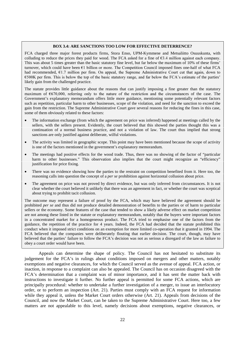#### **BOX 3.4: ARE SANCTIONS TOO LOW FOR EFFECTIVE DETERRENCE?**

FCA charged three major forest products firms, Stora Enso, UPM-Kymmene and Metsaliitto Osuuskunta, with colluding to reduce the prices they paid for wood. The FCA asked for a fine of  $63.4$  million against each company. This was about 5 times greater than the basic statutory fine level, but far below the maximum of 10% of these firms' turnover, which could have been  $\epsilon$ 1 billion or more. The Competition Council imposed fines one-half of what FCA had recommended,  $E1.7$  million per firm. On appeal, the Supreme Administrative Court cut that again, down to  $\epsilon$ 500K per firm. This is below the top of the basic statutory range, and far below the FCA's estimate of the parties' likely gain from the challenged practice.

The statute provides little guidance about the reasons that can justify imposing a fine greater than the statutory maximum of  $\epsilon$ 670,000, referring only to the nature of the restriction and the circumstances of the case. The Government's explanatory memorandum offers little more guidance, mentioning some potentially relevant factors such as repetition, particular harm to other businesses, scope of the violation, and need for the sanction to exceed the gain from the restriction. The Supreme Administrative Court gave several reasons for reducing the fines in this case, some of them obviously related to these factors:

- $\bullet$  The information exchange (from which the agreement on price was inferred) happened at meetings called by the sellers, with the sellers present. Evidently, the court believed that this showed the parties thought this was a continuation of a normal business practice, and not a violation of law. The court thus implied that strong sanctions are only justified against deliberate, wilful violations.
- $\bullet$  The activity was limited in geographic scope. This point may have been mentioned because the scope of activity is one of the factors mentioned in the government's explanatory memorandum.
- - The meetings had positive effects for the wood trade. Thus, there was no showing of the factor of "particular harm to other businesses." This observation also implies that the court might recognize an "efficiency" justification for price fixing.
- $\bullet$  There was no evidence showing how the parties to the restraint on competition benefited from it. Here too, the reasoning calls into question the concept of a *per se* prohibition against horizontal collusion about price.
- - The agreement on price was not proved by direct evidence, but was only inferred from circumstances. It is not clear whether the court believed it unlikely that there was an agreement in fact, or whether the court was sceptical about trying to prohibit tacit collusion.

The outcome may represent a failure of proof by the FCA, which may have believed the agreement should be prohibited *per se* and thus did not produce detailed demonstration of benefits to the parties or of harm to particular sellers or the economy. Some features of the case that tended to show a likely adverse effect on market competition are not among these listed in the statute or explanatory memorandum, notably that the buyers were important factors in a concentrated market for a homogeneous product. The FCA tried to emphasise one of the factors from the guidance, the repetition of the practice for 4 years. Indeed, the FCA had decided that the statute prohibited this conduct when it imposed strict conditions on an exemption for more limited co-operation that it granted in 1994. The FCA believed that the companies were deliberately flouting that earlier decision. The court, though, may have believed that the parties' failure to follow the FCA's decision was not as serious a disregard of the law as failure to obey a court order would have been.

 Appeals can determine the shape of policy. The Council has not hesitated to substitute its judgement for the FCA's in rulings about conditions imposed on mergers and other matters, notably exemptions and negative clearances, for which the Council served as the avenue of appeal. FCA action, or inaction, in response to a complaint can also be appealed. The Council has on occasion disagreed with the FCA's determination that a complaint was of minor importance, and it has sent the matter back with instructions to investigate it further. No further appeal is permitted for some FCA actions, which are principally procedural: whether to undertake a further investigation of a merger, to issue an interlocutory order, or to perform an inspection (Art. 21). Parties must comply with an FCA request for information while they appeal it, unless the Market Court orders otherwise (Art. 21). Appeals from decisions of the Council, and now the Market Court, can be taken to the Supreme Administrative Court. Here too, a few matters are not appealable to this level, namely decisions about exemptions, negative clearances, or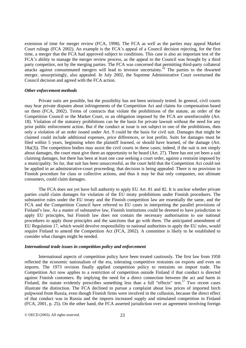extension of time for merger review (FCA, 1998). The FCA as well as the parties may appeal Market Court rulings (FCA 2002). An example is the FCA's appeal of a Council decision rejecting, for the first time, a merger that the FCA had approved subject to conditions. This case is also an important test of the FCA's ability to manage the merger review process, as the appeal to the Council was brought by a third party competitor, not by the merging parties. The FCA was concerned that permitting third-party collateral attacks against consummated mergers will lead to investor uncertainty.<sup>16</sup> The parties to the thwarted merger, unsurprisingly, also appealed. In July 2002, the Supreme Administrative Court overturned the Council decision and agreed with the FCA action.

#### *Other enforcement methods*

 Private suits are possible, but the possibility has not been seriously tested. In general, civil courts may hear private disputes about infringements of the Competition Act and claims for compensation based on them (FCA, 2002). Terms of contracts that violate the prohibitions of the statute, an order of the Competition Council or the Market Court, or an obligation imposed by the FCA are unenforceable (Art. 18). Violation of the statutory prohibitions can be the basis for private lawsuit without the need for any prior public enforcement action. But if the conduct at issue is not subject to one of the prohibitions, then only a violation of an order issued under Art. 9 could be the basis for civil suit. Damages that might be claimed could include additional expenses, price differences, or lost profits. Suits for damages must be filed within 5 years, beginning when the plaintiff learned, or should have learned, of the damage (Art. 18a(3)). The competition bodies may assist the civil courts in these cases; indeed, if the suit is not simply about damages, the court must give them an opportunity to be heard (Art. 27). There has not yet been a suit claiming damages, but there has been at least one case seeking a court order, against a restraint imposed by a municipality. So far, that suit has been unsuccessful, as the court held that the Competition Act could not be applied in an administrative-court proceeding; that decision is being appealed. There is no provision in Finnish procedure for class or collective actions, and thus it may be that only companies, not ultimate consumers, could claim damages.

 The FCA does not yet have full authority to apply EU Art. 81 and 82. It is unclear whether private parties could claim damages for violation of the EU treaty prohibitions under Finnish procedures. The substantive rules under the EU treaty and the Finnish competition law are essentially the same, and the FCA and the Competition Council have referred to EU cases in interpreting the parallel provisions of Finland's law. As a matter of substantive law, Finnish institutions could be deemed to have jurisdiction to apply EU principles, but Finnish law does not contain the necessary authorisation to use national procedures to apply those principles and the sanctions that go with them. The anticipated amendment of EU Regulation 17, which would devolve responsibility to national authorities to apply the EU rules, would require Finland to amend the Competition Act (FCA, 2002). A committee is likely to be established to consider what changes might be needed.

## *International trade issues in competition policy and enforcement*

 International aspects of competition policy have been treated cautiously. The first law from 1958 reflected the economic nationalism of the era, tolerating competitive restraints on exports and even on imports. The 1973 revision finally applied competition policy to restraints on import trade. The Competition Act now applies to a restriction of competition outside Finland if that conduct is directed against Finnish customers. By implying the need for a direct connection between the act and harm in Finland, the statute evidently prescribes something less than a full "effects" test.<sup>17</sup> Two recent cases illustrate the distinction. The FCA declined to pursue a complaint about low prices of imported birch pulpwood from Russia, even though Finnish firms were involved in the collusion, because the direct effect of that conduct was in Russia and the imports increased supply and stimulated competition in Finland (FCA, 2001, p. 25). On the other hand, the FCA asserted jurisdiction over an agreement involving foreign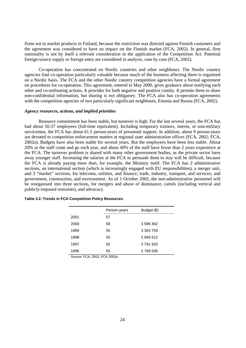firms not to market products in Finland, because the restriction was directed against Finnish customers and the agreement was considered to have an impact on the Finnish market (FCA, 2002). In general, firm nationality is not by itself a relevant consideration in the application of the Competition Act. Potential foreign-source supply or foreign entry are considered in analysis, case by case (FCA, 2002).

 Co-operation has concentrated on Nordic countries and other neighbours. The Nordic country agencies find co-operation particularly valuable because much of the business affecting them is organised on a Nordic basis. The FCA and the other Nordic country competition agencies have a formal agreement on procedures for co-operation. This agreement, entered in May 2000, gives guidance about notifying each other and co-ordinating actions. It provides for both negative and positive comity. It permits them to share non-confidential information, but sharing is not obligatory. The FCA also has co-operation agreements with the competition agencies of two particularly significant neighbours, Estonia and Russia (FCA, 2002).

## *Agency resources, actions, and implied priorities*

 Resource commitment has been stable, but turnover is high. For the last several years, the FCA has had about 56-57 employees (full-time equivalent). Including temporary trainees, interns, or non-military servicemen, the FCA has about 61.5 person-years of personnel support. In addition, about 9 person-years are devoted to competition enforcement matters at regional state administration offices (FCA, 2002; FCA, 2002*a*). Budgets have also been stable for several years. But the employees have been less stable. About 20% or the staff come and go each year, and about 40% of the staff have fewer than 2 years experience at the FCA. The turnover problem is shared with many other government bodies, as the private sector lures away younger staff. Increasing the salaries at the FCA to persuade them to stay will be difficult, because the FCA is already paying more than, for example, the Ministry itself. The FCA has 2 administrative sections, an international section (which is increasingly engaged with EU responsibilities), a merger unit, and 3 "market" sections, for telecoms, utilities, and finance; trade, industry, transport, and services; and government, construction, and environment. As of 1 October 2002, the non-administrative personnel will be reorganised into three sections, for mergers and abuse of dominance, cartels (including vertical and publicly-imposed restraints), and advocacy.

|      | Person-years | Budget $(\epsilon)$ |  |
|------|--------------|---------------------|--|
| 2001 | 57           |                     |  |
| 2000 | 56           | 3 596 362           |  |
| 1999 | 55           | 3 3 6 3 7 5 9       |  |
| 1998 | 55           | 2 949 512           |  |
| 1997 | 55           | 2 791 920           |  |
| 1996 | 55           | 2 768 036           |  |

Source: FCA, 2002, FCA 2002a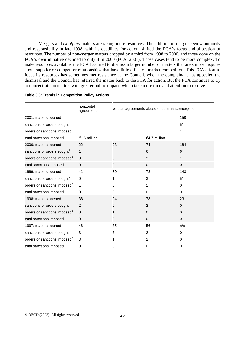Mergers and *ex officio* matters are taking more resources. The addition of merger review authority and responsibility in late 1998, with its deadlines for action, shifted the FCA's focus and allocation of resources. The number of non-merger matters dropped by a third from 1998 to 2000, and those done on the FCA's own initiative declined to only 8 in 2000 (FCA, 2001). Those cases tend to be more complex. To make resources available, the FCA has tried to dismiss a larger number of matters that are simply disputes about supplier or competitor relationships that have little effect on market competition. This FCA effort to focus its resources has sometimes met resistance at the Council, when the complainant has appealed the dismissal and the Council has referred the matter back to the FCA for action. But the FCA continues to try to concentrate on matters with greater public impact, which take more time and attention to resolve.

|                                          | horizontal<br>agreements | vertical agreements abuse of dominancemergers |              |                |
|------------------------------------------|--------------------------|-----------------------------------------------|--------------|----------------|
| 2001: matters opened                     |                          |                                               |              | 150            |
| sanctions or orders sought               |                          |                                               |              | $5^2$          |
| orders or sanctions imposed              |                          |                                               |              | 1              |
| total sanctions imposed                  | €1.6 million             |                                               | €4.7 million |                |
| 2000: matters opened                     | 22                       | 23                                            | 74           | 184            |
| sanctions or orders sought <sup>1</sup>  | 1                        |                                               | 6            | 6 <sup>2</sup> |
| orders or sanctions imposed <sup>3</sup> | $\overline{0}$           | 0                                             | 3            | 1              |
| total sanctions imposed                  | $\Omega$                 | $\Omega$                                      | $\Omega$     | $\Omega$       |
| 1999: matters opened                     | 41                       | 30                                            | 78           | 143            |
| sanctions or orders sought <sup>2</sup>  | $\Omega$                 | 1                                             | 3            | $5^2$          |
| orders or sanctions imposed <sup>3</sup> | 1                        | 0                                             | 1            | $\Omega$       |
| total sanctions imposed                  | $\Omega$                 | $\Omega$                                      | $\Omega$     | $\Omega$       |
| 1998: matters opened                     | 38                       | 24                                            | 78           | 23             |
| sanctions or orders sought <sup>2</sup>  | $\overline{2}$           | 0                                             | 2            | $\Omega$       |
| orders or sanctions imposed <sup>3</sup> | $\mathbf 0$              | 1                                             | $\mathbf 0$  | $\Omega$       |
| total sanctions imposed                  | $\Omega$                 | $\Omega$                                      | $\Omega$     | 0              |
| 1997: matters opened                     | 46                       | 35                                            | 56           | n/a            |
| sanctions or orders sought <sup>2</sup>  | 3                        | 2                                             | 2            | $\Omega$       |
| orders or sanctions imposed <sup>3</sup> | 3                        | 1                                             | 2            | $\Omega$       |
| total sanctions imposed                  | $\Omega$                 | 0                                             | 0            | 0              |

## **Table 3.3: Trends in Competition Policy Actions**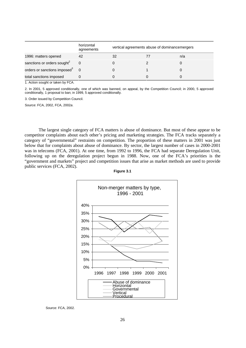|                                          | horizontal<br>agreements | vertical agreements abuse of dominancemergers |  |     |
|------------------------------------------|--------------------------|-----------------------------------------------|--|-----|
| 1996: matters opened                     | 42                       | 32                                            |  | n/a |
| sanctions or orders sought <sup>2</sup>  |                          |                                               |  |     |
| orders or sanctions imposed <sup>3</sup> | $\Omega$                 |                                               |  |     |
| total sanctions imposed                  |                          |                                               |  |     |

1. Action sought or taken by FCA.

2. In 2001, 5 approved conditionally, one of which was banned, on appeal, by the Competition Council; in 2000, 5 approved conditionally, 1 proposal to ban; in 1999, 5 approved conditionally.

3. Order issued by Competition Council.

Source: FCA, 2002, FCA, 2002a.

 The largest single category of FCA matters is abuse of dominance. But most of these appear to be competitor complaints about each other's pricing and marketing strategies. The FCA tracks separately a category of "governmental" restraints on competition. The proportion of these matters in 2001 was just below that for complaints about abuse of dominance. By sector, the largest number of cases in 2000-2001 was in telecoms (FCA, 2001). At one time, from 1992 to 1996, the FCA had separate Deregulation Unit, following up on the deregulation project begun in 1988. Now, one of the FCA's priorities is the "government and markets" project and competition issues that arise as market methods are used to provide public services (FCA, 2002).



**Figure 3.1** 

Source: FCA, 2002.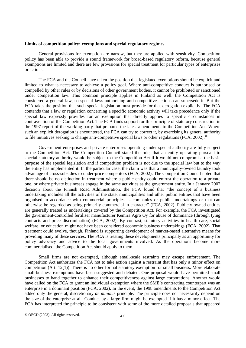## **Limits of competition policy: exemptions and special regulatory regimes**

 General provisions for exemption are narrow, but they are applied with sensitivity. Competition policy has been able to provide a sound framework for broad-based regulatory reform, because general exemptions are limited and there are few provisions for special treatment for particular types of enterprises or actions.

 The FCA and the Council have taken the position that legislated exemptions should be explicit and limited to what is necessary to achieve a policy goal. Where anti-competitive conduct is authorised or compelled by other rules or by decisions of other government bodies, it cannot be prohibited or sanctioned under competition law. This common principle applies in Finland as well: the Competition Act is considered a general law, so special laws authorising anti-competitive actions can supersede it. But the FCA takes the position that such special legislation must provide for that derogation explicitly. The FCA contends that a law or regulation concerning a specific economic activity will take precedence only if the special law expressly provides for an exemption that directly applies to specific circumstances in contravention of the Competition Act. The FCA finds support for this principle of statutory construction in the 1997 report of the working party that prepared the latest amendments to the Competition Act. Where such an explicit derogation is encountered, the FCA can try to correct it, by exercising its general authority to file initiatives seeking to change anti-competitive special laws or other regulations (FCA, 2002).<sup>18</sup>

 Government enterprises and private enterprises operating under special authority are fully subject to the Competition Act. The Competition Council stated the rule, that an entity operating pursuant to special statutory authority would be subject to the Competition Act if it would not compromise the basic purpose of the special legislation and if competition problem is not due to the special law but to the way the entity has implemented it. In the particular case, the claim was that a municipally-owned laundry took advantage of cross-subsidies to under-price competitors (FCA, 2002). The Competition Council noted that there should be no distinction in treatment where a public entity could entrust the operation to a private one, or where private businesses engage in the same activities as the government entity. In a January 2002 decision about the Finnish Road Administration, the FCA found that "the concept of a business undertaking includes all the activities of the state, municipalities and other public entities that have been organised in accordance with commercial principles as companies or public undertakings or that can otherwise be regarded as being primarily commercial in character" (FCA, 2002). Publicly owned entities are generally treated as undertakings covered by the Competition Act. For example, the FCA investigated the government-controlled fertiliser manufacturer Kemira Agro Oy for abuse of dominance (through tying contracts and price discrimination) (FCA, 2002). By contrast, statutory activities in health care, social welfare, or education might not have been considered economic business undertakings (FCA, 2002). That treatment could evolve, though. Finland is supporting development of market-based alternative means for providing many of these services. The FCA is treating these developments principally as an opportunity for policy advocacy and advice to the local governments involved. As the operations become more commercialised, the Competition Act should apply to them.

 Small firms are not exempted, although small-scale restraints may escape enforcement. The Competition Act authorizes the FCA not to take action against a restraint that has only a minor effect on competition (Art. 12(1)). There is no other formal statutory exemption for small business. More elaborate small-business exemptions have been suggested and debated. One proposal would have permitted small businesses to band together to enhance their competitiveness against large corporations. Another would have called on the FCA to grant an individual exemption where the SME's contracting counterpart was an enterprise in a dominant position (FCA, 2002). In the event, the 1998 amendments to the Competition Act added only the general, discretionary *de minimis* principle. The principle does not necessarily depend on the size of the enterprise at all. Conduct by a large firm might be exempted if it has a minor effect. The FCA has interpreted the principle to be consistent with some of the more detailed proposals that appeared

© OECD (2003). All rights reserved. 27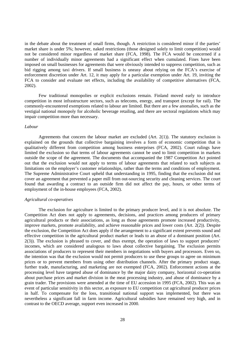in the debate about the treatment of small firms, though. A restriction is considered minor if the parties' market share is under 5%; however, naked restrictions (those designed solely to limit competition) would not be considered minor regardless of market share (FCA, 1998). The FCA would be concerned if a number of individually minor agreements had a significant effect when cumulated. Fines have been imposed on small businesses for agreements that were obviously intended to suppress competition, such as bid rigging among taxi drivers. If small business is uneasy about relying on the FCA's exercise of enforcement discretion under Art. 12, it may apply for a particular exemption under Art. 19, inviting the FCA to consider and evaluate net effects, including the availability of competitive alternatives (FCA, 2002).

 Few traditional monopolies or explicit exclusions remain. Finland moved early to introduce competition in most infrastructure sectors, such as telecoms, energy, and transport (except for rail). The commonly-encountered exemptions related to labour are limited. But there are a few anomalies, such as the vestigial national monopoly for alcoholic beverage retailing, and there are sectoral regulations which may impair competition more than necessary.

#### *Labour*

Agreements that concern the labour market are excluded (Art.  $2(1)$ ). The statutory exclusion is explained on the grounds that collective bargaining involves a form of economic competition that is qualitatively different from competition among business enterprises (FCA, 2002). Court rulings have limited the exclusion so that terms of labour agreements cannot be used to limit competition in markets outside the scope of the agreement. The documents that accompanied the 1987 Competition Act pointed out that the exclusion would not apply to terms of labour agreements that related to such subjects as limitations on the employer's customer relationships, rather than the terms and conditions of employment. The Supreme Administrative Court upheld that understanding in 1995, finding that the exclusion did not cover an agreement that prevented a paper mill from out-sourcing security and cleaning services. The court found that awarding a contract to an outside firm did not affect the pay, hours, or other terms of employment of the in-house employees (FCA, 2002).

#### *Agricultural co-operatives*

 The exclusion for agriculture is limited to the primary producer level, and it is not absolute. The Competition Act does not apply to agreements, decisions, and practices among producers of primary agricultural products or their associations, as long as those agreements promote increased productivity, improve markets, promote availability, and achieve reasonable prices and lower costs (Art. 2(2)). Despite the exclusion, the Competition Act does apply if the arrangement to a significant extent prevents sound and effective competition in the agricultural product market or leads to an abuse of a dominant position (Art. 2(3)). The exclusion is phrased to cover, and thus exempt, the operation of laws to support producers' incomes, which are considered analogous to laws about collective bargaining. The exclusion permits associations of producers to represent their members in negotiations with buyers and processors. Even so, the intention was that the exclusion would not permit producers to use these groups to agree on minimum prices or to prevent members from using other distribution channels. After the primary product stage, further trade, manufacturing, and marketing are not exempted (FCA, 2002). Enforcement actions at the processing level have targeted abuse of dominance by the major dairy company, horizontal co-operation about purchase prices and market division in the meat processing industry, and abuse of dominance by a grain trader. The provisions were amended at the time of EU accession in 1995 (FCA, 2002). This was an event of particular sensitivity in this sector, as exposure to EU competition cut agricultural producer prices in half. To compensate for the loss, transitional national support was implemented, but there was nevertheless a significant fall in farm income. Agricultural subsidies have remained very high, and in contrast to the OECD average, support even increased in 2000.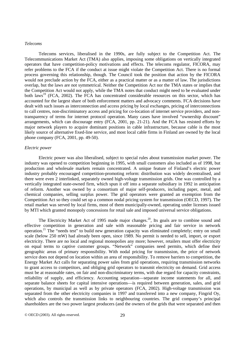## *Telecoms*

 Telecoms services, liberalised in the 1990s, are fully subject to the Competition Act. The Telecommunications Market Act (TMA) also applies, imposing some obligations on vertically integrated operators that have competition-policy motivations and effects. The telecoms regulator, FICORA, may refer problems to the FCA if the conduct at issue might violate the Competition Act. There is no formal process governing this relationship, though. The Council took the position that action by the FICORA would not preclude action by the FCA, either as a practical matter or as a matter of law. The jurisdictions overlap, but the laws are not symmetrical. Neither the Competition Act nor the TMA states or implies that the Competition Act would not apply, while the TMA notes that conduct might need to be evaluated under both laws<sup>19</sup> (FCA, 2002). The FCA has concentrated considerable resources on this sector, which has accounted for the largest share of both enforcement matters and advocacy comments. FCA decisions have dealt with such issues as interconnection and access pricing by local exchanges, pricing of interconnections to call centres, non-discriminatory access and pricing for co-location of internet service providers, and nontransparency of terms for internet protocol operation. Many cases have involved "ownership discount" arrangements, which can discourage entry (FCA, 2001, pp. 21-21). And the FCA has resisted efforts by major network players to acquire dominant positions in cable infrastructure, because cable is the most likely source of alternative fixed-line service, and most local cable firms in Finland are owned by the local phone company (FCA, 2001, pp. 49-50).

## *Electric power*

 Electric power was also liberalised, subject to special rules about transmission market power. The industry was opened to competition beginning in 1995, with small customers also included as of 1998, but production and wholesale markets remain concentrated. A unique feature of Finland's electric power industry probably encouraged competition-promoting reform: distribution was widely decentralised, and there were even 2 interlinked, separately owned high-voltage transmission grids. One was controlled by a vertically integrated state-owned firm, which spun it off into a separate subsidiary in 1992 in anticipation of reform. Another was owned by a consortium of major self-producers, including paper, metal, and chemical companies, selling surplus power. The grid operators were granted an exemption from the Competition Act so they could set up a common nodal pricing system for transmission (OECD, 1997). The retail market was served by local firms, most of them municipally-owned, operating under licenses issued by MTI which granted monopoly concessions for retail sale and imposed universal service obligations.

The Electricity Market Act of 1995 made major changes.<sup>20</sup>, Its goals are to combine sound and effective competition in generation and sale with reasonable pricing and fair service in network operation.21 The "needs test" to build new generation capacity was eliminated completely; entry on small scale (below 250 mW) had already been open, since 1989. No permit is needed to sell, import, or export electricity. There are no local and regional monopolies any more; however, retailers must offer electricity on equal terms to captive customer groups. "Network" companies need permits, which define their geographic areas of primary responsibility. With nodal pricing for transmission, the price of network service does not depend on location within an area of responsibility. To remove barriers to competition, the Energy Market Act calls for separating power sales from grid operations, requiring transmission networks to grant access to competitors, and obliging grid operators to transmit electricity on demand. Grid access must be at reasonable rates, on fair and non-discriminatory terms, with due regard for capacity constraints, reliability of supply, and efficiency. Accounting separation—separate income statements for all, and separate balance sheets for capital intensive operations—is required between generation, sales, and grid operations, by municipal as well as by private operators (FCA, 2002). High-voltage transmission was separated from the other electricity companies in 1997 and transferred into a new company, Fingrid Oy, which also controls the transmission links to neighbouring countries. The grid company's principal shareholders are the two power largest producers (and the owners of the grids that were separated and then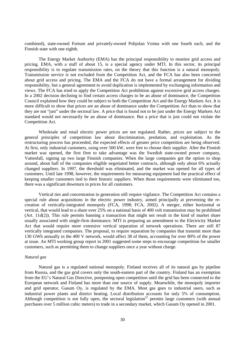combined), state-owned Fortum and privately-owned Pohjolan Voima with one fourth each, and the Finnish state with one eighth.

 The Energy Market Authority (EMA) has the principal responsibility to monitor grid access and pricing. EMA, with a staff of about 15, is a special agency under MTI. In this sector, its principal responsibility is to regulate transmission rates, on the theory that this function is a natural monopoly. Transmission service is not excluded from the Competition Act, and the FCA has also been concerned about grid access and pricing. The EMA and the FCA do not have a formal arrangement for dividing responsibility, but a general agreement to avoid duplication is implemented by exchanging information and views. The FCA has tried to apply the Competition Act prohibition against excessive grid access charges. In a 2002 decision declining to find certain access charges to be an abuse of dominance, the Competition Council explained how they could be subject to both the Competition Act and the Energy Markets Act. It is more difficult to show that prices are an abuse of dominance under the Competition Act than to show that they are not "just" under the sectoral law. A price that is found not to be just under the Energy Markets Act standard would not necessarily be an abuse of dominance. But a price that is just could not violate the Competition Act.

 Wholesale and retail electric power prices are not regulated. Rather, prices are subject to the general principles of competition law about discrimination, predation, and exploitation. As the restructuring process has proceeded, the expected effects of greater price competition are being observed. At first, only industrial customers, using over 500 kW, were free to choose their supplier. After the Finnish market was opened, the first firm to take advantage was the Swedish state-owned power company, Vattenfall, signing up two large Finnish companies. When the large companies got the option to shop around, about half of the companies eligible negotiated better contracts, although only about 6% actually changed suppliers. In 1997, the threshold was eliminated, and the market was opened for all types of customers. Until late 1998, however, the requirements for measuring equipment had the practical effect of keeping smaller customers tied to their historic suppliers. When those requirements were eliminated too, there was a significant downturn in prices for all customers.

 Vertical ties and concentration in generation still require vigilance. The Competition Act contains a special rule about acquisitions in the electric power industry, aimed principally at preventing the recreation of vertically-integrated monopoly (FCA, 1998; FCA, 2002). A merger, either horizontal or vertical, that would lead to a share over 25% on a national basis of 400 volt transmission may be prohibited (Art. 11d(2)). This rule permits banning a transaction that might not result in the kind of market share usually associated with single-firm dominance. MTI is preparing an amendment to the Electricity Market Act that would require more extensive vertical separation of network operations. There are still 87 vertically integrated companies. The proposal, to require separation by companies that transmit more than 130 GWh annually in the 400 V network, would affect 38 of them, accounting for over 80% of the power at issue. An MTI working group report in 2001 suggested some steps to encourage competition for smaller customers, such as permitting them to change suppliers once a year without charge.

## *Natural gas*

 Natural gas is a regulated national monopoly. Finland receives all of its natural gas by pipeline from Russia, and the gas grid covers only the south-eastern part of the country. Finland has an exemption from the EU's Natural Gas Directive, postponing open competition until the grid has been connected to the European network and Finland has more than one source of supply. Meanwhile, the monopoly importer and grid operator, Gasum Oy, is regulated by the EMA. Most gas goes to industrial users, such as industrial power plants and district heating. Local distribution accounts for only 5% of consumption. Although competition is not fully open, the sectoral legislation<sup>22</sup> permits large customers (with annual purchases over 5 million cubic meters) to trade in a secondary market, which Gasum Oy opened in 2001.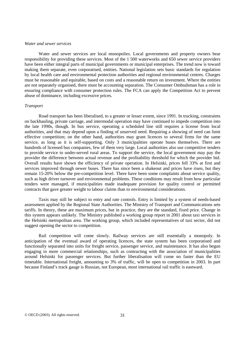## *Water and sewer services*

 Water and sewer services are local monopolies. Local governments and property owners bear responsibility for providing these services. Most of the 1 500 waterworks and 650 sewer service providers have been either integral parts of municipal governments or municipal enterprises. The trend now is toward making them separate, even corporatised, entities. National legislation sets basic standards for regulation by local health care and environmental protection authorities and regional environmental centres. Charges must be reasonable and equitable, based on costs and a reasonable return on investment. Where the entities are not separately organised, there must be accounting separation. The Consumer Ombudsman has a role in ensuring compliance with consumer protection rules. The FCA can apply the Competition Act to prevent abuse of dominance, including excessive prices.

## *Transport*

 Road transport has been liberalised, to a greater or lesser extent, since 1991. In trucking, constraints on backhauling, private carriage, and intermodal operation may have continued to impede competition into the late 1990s, though. In bus service, operating a scheduled line still requires a license from local authorities, and that may depend upon a finding of unserved need. Requiring a showing of need can limit effective competition; on the other hand, authorities may grant licences to several firms for the same service, as long as it is self-supporting. Only 3 municipalities operate buses themselves. There are hundreds of licensed bus companies, few of them very large. Local authorities also use competitive tenders to provide service to under-served rural areas. To support the service, the local government may pay the provider the difference between actual revenue and the profitability threshold for which the provider bid. Overall results have shown the efficiency of private operation. In Helsinki, prices fell 33% at first and services improved through newer buses. There has since been a shakeout and prices have risen, but they remain 15-20% below the pre-competition level. There have been some complaints about service quality, such as high driver turnover and environmental problems. These conditions may result from how particular tenders were managed, if municipalities made inadequate provision for quality control or permitted contracts that gave greater weight to labour claims than to environmental considerations.

 Taxis may still be subject to entry and rate controls. Entry is limited by a system of needs-based assessment applied by the Regional State Authorities. The Ministry of Transport and Communications sets tariffs. In theory, these are maximum prices, but in practice, they are the standard, fixed price. Change in this system appears unlikely. The Ministry published a working group report in 2001 about taxi services in the Helsinki metropolitan area. The working group, which included representatives of taxi sector, did not suggest opening the sector to competition.

 Rail competition will come slowly. Railway services are still essentially a monopoly. In anticipation of the eventual award of operating licences, the state system has been corporatised and functionally separated into units for freight service, passenger service, and maintenance. It has also begun engaging in more commercial relationships, such as contracting with the association of municipalities around Helsinki for passenger services. But further liberalisation will come no faster than the EU timetable. International freight, amounting to 3% of traffic, will be open to competition in 2003. In part because Finland's track gauge is Russian, not European, most international rail traffic is eastward.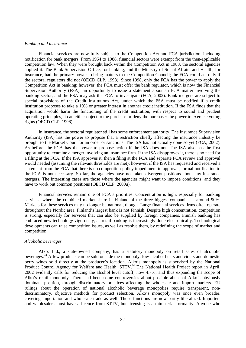## *Banking and insurance*

 Financial services are now fully subject to the Competition Act and FCA jurisdiction, including notification for bank mergers. From 1964 to 1988, financial sectors were exempt from the then-applicable competition law. When they were brought back within the Competition Act in 1988, the sectoral agencies applied it. The Bank Supervision Office, for banking, and the Ministry of Social Affairs and Health, for insurance, had the primary power to bring matters to the Competition Council; the FCA could act only if the sectoral regulators did not (OECD CLP, 1998). Since 1998, only the FCA has the power to apply the Competition Act in banking; however, the FCA must offer the bank regulator, which is now the Financial Supervision Authority (FSA), an opportunity to issue a statement about an FCA matter involving the banking sector, and the FSA may ask the FCA to investigate (FCA, 2002). Bank mergers are subject to special provisions of the Credit Institutions Act, under which the FSA must be notified if a credit institution proposes to take a 10% or greater interest in another credit institution. If the FSA finds that the acquisition would harm the functioning of the credit institution, with respect to sound and prudent operating principles, it can either object to the purchase or deny the purchaser the power to exercise voting rights (OECD CLP, 1998).

 In insurance, the sectoral regulator still has some enforcement authority. The Insurance Supervision Authority (ISA) has the power to propose that a restriction chiefly affecting the insurance industry be brought to the Market Court for an order or sanctions. The ISA has not actually done so yet (FCA, 2002). As before, the FCA has the power to propose action if the ISA does not. The ISA also has the first opportunity to examine a merger involving an insurance firm. If the ISA disapproves it, there is no need for a filing at the FCA. If the ISA approves it, then a filing at the FCA and separate FCA review and approval would needed (assuming the relevant thresholds are met); however, if the ISA has requested and received a statement from the FCA that there is no competition-policy impediment to approval, formal notification to the FCA is not necessary. So far, the agencies have not taken divergent positions about any insurance mergers. The interesting cases are those where the agencies might want to impose conditions, and they have to work out common positions (OECD CLP, 2000*a*).

 Financial services remain one of FCA's priorities. Concentration is high, especially for banking services, where the combined market share in Finland of the three biggest companies is around 90%. Markets for these services may no longer be national, though. Large financial services firms often operate throughout the Nordic area. Finland's largest bank is not Finnish. Despite high concentration, competition is strong, especially for services that can also be supplied by foreign companies. Finnish banking has embraced new technology vigorously, as retail banking is increasingly done electronically. Technological developments can raise competition issues, as well as resolve them, by redefining the scope of market and competition.

## *Alcoholic beverages*

 Alko, Ltd., a state-owned company, has a statutory monopoly on retail sales of alcoholic beverages.23 A few products can be sold outside the monopoly: low-alcohol beers and ciders and domestic berry wines sold directly at the producer's location. Alko's monopoly is supervised by the National Product Control Agency for Welfare and Health, STTV.<sup>24</sup> The National Health Project report in April, 2002 evidently calls for reducing the alcohol level cutoff, now 4.7%, and thus expanding the scope of Alko's retail monopoly. There had been some controversies about possible abuse of Alko's obviously dominant position, through discriminatory practices affecting the wholesale and import markets. EU rulings about the operation of national alcoholic beverage monopolies require transparent, nondiscriminatory, objective methods for product selection. Alko's monopoly was once even broader, covering importation and wholesale trade as well. Those functions are now partly liberalized. Importers and wholesalers must have a licence from STTV, but licensing is a ministerial formality. Anyone who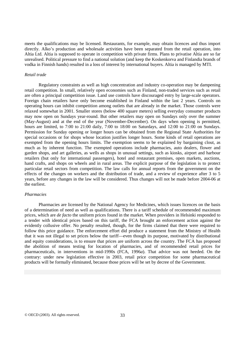meets the qualifications may be licensed. Restaurants, for example, may obtain licences and thus import directly. Alko's production and wholesale activities have been separated from the retail operation, into Altia Ltd. Altia is supposed to operate in competition with private firms. Plans to privatise Altia are so far unrealised. Political pressure to find a national solution (and keep the Koskenkorva and Finlandia brands of vodka in Finnish hands) resulted in a loss of interest by international buyers. Altia is managed by MTI.

## *Retail trade*

 Regulatory constraints as well as high concentration and industry co-operation may be dampening retail competition. In small, relatively open economies such as Finland, non-traded services such as retail are often a principal competition issue. Land use controls have discouraged entry by large-scale operators. Foreign chain retailers have only become established in Finland within the last 2 years. Controls on operating hours can inhibit competition among outlets that are already in the market. Those controls were relaxed somewhat in 2001. Smaller stores (below 400 square meters) selling everyday consumer products may now open on Sundays year-round. But other retailers may open on Sundays only over the summer (May-August) and at the end of the year (November-December). On days when opening is permitted, hours are limited, to 7:00 to 21:00 daily, 7:00 to 18:00 on Saturdays, and 12:00 to 21:00 on Sundays. Permission for Sunday opening or longer hours can be obtained from the Regional State Authorities for special occasions or for shops whose location justifies longer hours. Some kinds of retail operations are exempted from the opening hours limits. The exemption seems to be explained by bargaining clout, as much as by inherent function. The exempted operations include pharmacies, auto dealers, flower and garden shops, and art galleries, as wells as shops in unusual settings, such as kiosks, airport and harbour retailers (but only for international passengers), hotel and restaurant premises, open markets, auctions, hand crafts, and shops on wheels and in rural areas. The explicit purpose of the legislation is to protect particular retail sectors from competition. The law calls for annual reports from the government on the effects of the changes on workers and the distribution of trade, and a review of experience after 3 to 5 years, before any changes in the law will be considered. Thus changes will not be made before 2004-06 at the earliest.

## *Pharmacies*

 Pharmacies are licensed by the National Agency for Medicines, which issues licences on the basis of a determination of need as well as qualifications. There is a tariff schedule of recommended maximum prices, which are *de facto* the uniform prices found in the market. When providers in Helsinki responded to a tender with identical prices based on this tariff, the FCA brought an enforcement action against the evidently collusive offer. No penalty resulted, though, for the firms claimed that there were required to follow this price guidance. The enforcement effort did produce a statement from the Ministry of Health that it was not illegal to set prices below the tariff—even though its purpose, motivated by distributional and equity considerations, is to ensure that prices are uniform across the country. The FCA has proposed the abolition of means testing for location of pharmacies, and of recommended retail prices for pharmaceuticals, in interventions in mid-1990s (FCA, 1996*a*). That advice was not heeded. On the contrary: under new legislation effective in 2003, retail price competition for some pharmaceutical products will be formally eliminated, because those prices will be set by decree of the Government.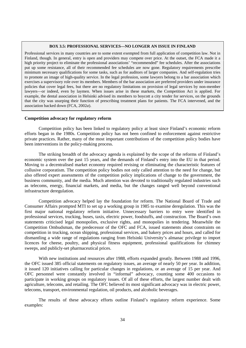#### **BOX 3.5: PROFESSIONAL SERVICES—NO LONGER AN ISSUE IN FINLAND**

Professional services in many countries are to some extent exempted from full application of competition law. Not in Finland, though. In general, entry is open and providers may compete over price. At the outset, the FCA made it a high priority project to eliminate the professional associations' "recommended" fee schedules. After the associations put up some resistance, all of their recommended fee schedules are now gone. Regulatory requirements prescribe minimum necessary qualifications for some tasks, such as for auditors of larger companies. And self-regulation tries to promote an image of high-quality service. In the legal profession, some lawyers belong to a bar association which exercises a supervisory role over its members. Members of the bar association are preferred providers under insurance policies that cover legal fees, but there are no regulatory limitations on provision of legal services by non-member lawyers—or indeed, even by laymen. When issues arise in these markets, the Competition Act is applied. For example, the dental association in Helsinki advised its members to boycott a city tender for services, on the grounds that the city was usurping their function of prescribing treatment plans for patients. The FCA intervened, and the association backed down (FCA, 2002*a*).

## **Competition advocacy for regulatory reform**

 Competition policy has been linked to regulatory policy at least since Finland's economic reform efforts began in the 1980s. Competition policy has not been confined to enforcement against restrictive private practices. Rather, many of the most important contributions of the competition policy bodies have been interventions in the policy-making process.

 The striking breadth of the advocacy agenda is explained by the scope of the reforms of Finland's economic system over the past 15 years, and the demands of Finland's entry into the EU in that period. Moving to a decentralised market economy required revising or eliminating the characteristic features of collusive corporatism. The competition policy bodies not only called attention to the need for change, but also offered expert assessments of the competition policy implications of change to the government, the business community, and the media. Much attention was devoted to traditionally regulated industries such as telecoms, energy, financial markets, and media, but the changes ranged well beyond conventional infrastructure deregulation.

 Competition advocacy helped lay the foundation for reform. The National Board of Trade and Consumer Affairs prompted MTI to set up a working group in 1985 to examine deregulation. This was the first major national regulatory reform initiative. Unnecessary barriers to entry were identified in professional services, trucking, buses, taxis, electric power, foodstuffs, and construction. The Board's own statements criticised legal monopolies, exclusive rights, and monopolies in tendering. Meanwhile the Competition Ombudsman, the predecessor of the OFC and FCA, issued statements about constraints on competition in trucking, ocean shipping, professional services, and bakery prices and hours, and called for dismantling a wide range of regulations ranging from Helsinki University's almanac privilege to import licences for cheese, poultry, and physical fitness equipment, professional qualifications for chimney sweeps, and publicly-set pharmaceutical prices.

 With new institutions and resources after 1988, efforts expanded greatly. Between 1988 and 1996, the OFC issued 385 official statements on regulatory issues, an average of nearly 50 per year. In addition, it issued 120 initiatives calling for particular changes in regulations, or an average of 15 per year. And OFC personnel were constantly involved in "informal" advocacy, counting some 400 occasions to participate in working groups on regulatory issues. Of all of these efforts, the largest number dealt with agriculture, telecoms, and retailing. The OFC believed its most significant advocacy was in electric power, telecoms, transport, environmental regulation, oil products, and alcoholic beverages.

 The results of these advocacy efforts outline Finland's regulatory reform experience. Some examples: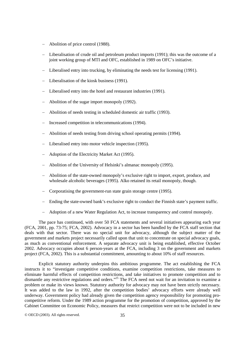- Abolition of price control (1988).
- Liberalisation of crude oil and petroleum product imports (1991); this was the outcome of a joint working group of MTI and OFC, established in 1989 on OFC's initiative.
- Liberalised entry into trucking, by eliminating the needs test for licensing (1991).
- Liberalisation of the kiosk business (1991).
- Liberalised entry into the hotel and restaurant industries (1991).
- Abolition of the sugar import monopoly (1992).
- Abolition of needs testing in scheduled domestic air traffic (1993).
- Increased competition in telecommunications (1994).
- Abolition of needs testing from driving school operating permits (1994).
- Liberalised entry into motor vehicle inspection (1995).
- Adoption of the Electricity Market Act (1995).
- Abolition of the University of Helsinki's almanac monopoly (1995).
- Abolition of the state-owned monopoly's exclusive right to import, export, produce, and wholesale alcoholic beverages (1995). Alko retained its retail monopoly, though.
- Corporatising the government-run state grain storage centre (1995).
- Ending the state-owned bank's exclusive right to conduct the Finnish state's payment traffic.
- Adoption of a new Water Regulation Act, to increase transparency and control monopoly.

 The pace has continued, with over 50 FCA statements and several initiatives appearing each year (FCA, 2001, pp. 73-75; FCA, 2002). Advocacy in a sector has been handled by the FCA staff section that deals with that sector. There was no special unit for advocacy, although the subject matter of the government and markets project necessarily called upon that unit to concentrate on special advocacy goals, as much as conventional enforcement. A separate advocacy unit is being established, effective October 2002. Advocacy occupies about 6 person-years at the FCA, including 3 on the government and markets project (FCA, 2002). This is a substantial commitment, amounting to about 10% of staff resources.

 Explicit statutory authority underpins this ambitious programme. The act establishing the FCA instructs it to "investigate competitive conditions, examine competition restrictions, take measures to eliminate harmful effects of competition restrictions, and take initiatives to promote competition and to dismantle any restrictive regulations and orders."<sup>25</sup> The FCA need not wait for an invitation to examine a problem or make its views known. Statutory authority for advocacy may not have been strictly necessary. It was added to the law in 1992, after the competition bodies' advocacy efforts were already well underway. Government policy had already given the competition agency responsibility for promoting procompetitive reform. Under the 1989 action programme for the promotion of competition, approved by the Cabinet Committee on Economic Policy, measures that restrict competition were not to be included in new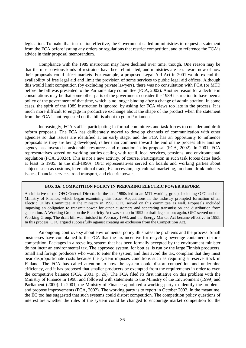legislation. To make that instruction effective, the Government called on ministries to request a statement from the FCA before issuing any orders or regulations that restrict competition, and to reference the FCA's advice in their proposal memorandum.

 Compliance with the 1989 instruction may have declined over time, though. One reason may be that the most obvious kinds of restraints have been eliminated, and ministries are less aware now of how their proposals could affect markets. For example, a proposed Legal Aid Act in 2001 would extend the availability of free legal aid and limit the provision of some services to public legal aid offices. Although this would limit competition (by excluding private lawyers), there was no consultation with FCA (or MTI) before the bill was presented to the Parliamentary committee (FCA, 2002). Another reason for a decline in consultations may be that some other parts of the government consider the 1989 instruction to have been a policy of the government of that time, which is no longer binding after a change of administration. In some cases, the spirit of the 1989 instruction is ignored, by asking for FCA views too late in the process. It is much more difficult to engage in productive exchange about the shape of the product when the statement from the FCA is not requested until a bill is about to go to Parliament.

 Increasingly, FCA staff is participating in formal committees and task forces to consider and draft reform proposals. The FCA has deliberately moved to develop channels of communication with other agencies so that issues are identified at an early stage, and the FCA has an opportunity to influence proposals as they are being developed, rather than comment toward the end of the process after another agency has invested considerable resources and reputation in its proposal (FCA, 2002). In 2001, FCA representatives served on working parties dealing with retail, local services, pensions, and environmental regulation (FCA, 2002*a*). This is not a new activity, of course. Participation in such task forces dates back at least to 1985. In the mid-1990s, OFC representatives served on boards and working parties about subjects such as customs, international trade, EU accession, agricultural marketing, food and drink industry issues, financial services, road transport, and electric power.

## **BOX 3.6: COMPETITION POLICY IN PREPARING ELECTRIC POWER REFORM**

An initiative of the OFC General Director in the late 1980s led to an MTI working group, including OFC and the Ministry of Finance, which began examining this issue. Acquisitions in the industry prompted formation of an Electric Utility Committee at the ministry in 1990. OFC served on this committee as well. Proposals included imposing an obligation to transmit power for other customers and separating transmission and distribution from generation. A Working Group on the Electricity Act was set up in 1992 to draft legislation; again, OFC served on this Working Group. The draft bill was finished in February 1993, and the Energy Market Act became effective in 1995. In this process, OFC argued successfully against creating an exclusion from the Competition Act.

 An ongoing controversy about environmental policy illustrates the problems and the process. Small businesses have complained to the FCA that the tax incentive for recycling beverage containers distorts competition. Packages in a recycling system that has been formally accepted by the environment minister do not incur an environmental tax. The approved system, for bottles, is run by the large Finnish producers. Small and foreign producers who want to enter the system, and thus avoid the tax, complain that they must bear disproportionate costs because the system imposes conditions such as requiring a reserve stock in Finland. The FCA has called attention to how the system could distort competition and undermine efficiency, and it has proposed that smaller producers be exempted from the requirements in order to even the competitive balance (FCA, 2001, p. 26). The FCA filed its first initiative on this problem with the Ministry of Finance in 1998, and followed with statements to the Ministry of the Environment (1999) and Parliament (2000). In 2001, the Ministry of Finance appointed a working party to identify the problems and propose improvements (FCA, 2002). The working party is to report in October 2002. In the meantime, the EC too has suggested that such systems could distort competition. The competition policy questions of interest are whether the rules of the system could be changed to encourage market competition for the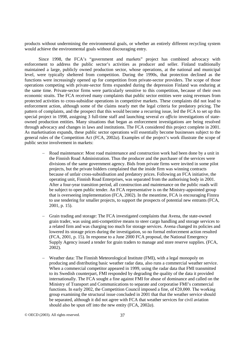products without undermining the environmental goals, or whether an entirely different recycling system would achieve the environmental goals without discouraging entry.

 Since 1998, the FCA's "government and markets" project has combined advocacy with enforcement to address the public sector's activities as producer and seller. Finland traditionally maintained a large, publicly owned production sector, whose operations, at the national and municipal level, were typically sheltered from competition. During the 1990s, that protection declined as the functions were increasingly opened up for competition from private-sector providers. The scope of those operations competing with private-sector firms expanded during the depression Finland was enduring at the same time. Private-sector firms were particularly sensitive to this competition, because of their own economic straits. The FCA received many complaints that public sector entities were using revenues from protected activities to cross-subsidise operations in competitive markets. These complaints did not lead to enforcement action, although some of the claims nearly met the legal criteria for predatory pricing. The pattern of complaints, and the prospect that this would become a recurring issue, led the FCA to set up this special project in 1998, assigning 3 full-time staff and launching several *ex officio* investigations of stateowned production entities. Many situations that began as enforcement investigations are being resolved through advocacy and changes in laws and institutions. The FCA considered this project complete in 2001. As marketisation expands, these public sector operations will essentially become businesses subject to the general rules of the Competition Act (FCA, 2002*a*). Examples of the project's work illustrate the scope of public sector involvement in markets:

- Road maintenance: Most road maintenance and construction work had been done by a unit in the Finnish Road Administration. Thus the producer and the purchaser of the services were divisions of the same government agency. Bids from private firms were invited in some pilot projects, but the private bidders complained that the inside firm was winning contracts because of unfair cross-subsidisation and predatory prices. Following an FCA initiative, the operating unit, Finnish Road Enterprises, was separated from the authorising body in 2001. After a four-year transition period, all construction and maintenance on the public roads will be subject to open public tender. An FCA representative is on the Ministry-appointed group that is overseeing implementation (FCA, 2002). In the meantime, FCA is encouraging Finnra to use tendering for smaller projects, to support the prospects of potential new entrants (FCA, 2001, p. 15).
- Grain trading and storage: The FCA investigated complaints that Avena, the state-owned grain trader, was using anti-competitive means to steer cargo handling and storage services to a related firm and was charging too much for storage services. Avena changed its policies and lowered its storage prices during the investigation, so no formal enforcement action resulted (FCA, 2001, p. 15). In response to a June 2000 FCA proposal, the National Emergency Supply Agency issued a tender for grain traders to manage and store reserve supplies. (FCA, 2002).
- Weather data: The Finnish Meteorological Institute (FMI), with a legal monopoly on producing and distributing basic weather radar data, also runs a commercial weather service. When a commercial competitor appeared in 1999, using the radar data that FMI transmitted to its Swedish counterpart, FMI responded by degrading the quality of the data it provided internationally. The FCA sought a fine against FMI for abuse of dominance and called on the Ministry of Transport and Communications to separate and corporatise FMI's commercial functions. In early 2002, the Competition Council imposed a fine, of  $\epsilon$ 20,000. The working group examining the structural issue concluded in 2001 that that the weather service should be separated, although it did not agree with FCA that weather services for civil aviation should also be spun off into the new entity (FCA, 2002*a*).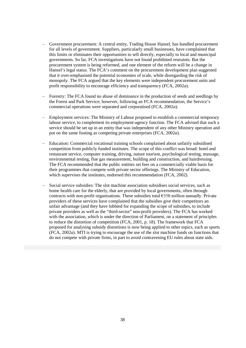- Government procurement: A central entity, Trading House Hansel, has handled procurement for all levels of government. Suppliers, particularly small businesses, have complained that this limits or eliminates their opportunities to sell directly, especially to local and municipal governments. So far, FCA investigations have not found prohibited restraints. But the procurement system is being reformed, and one element of the reform will be a change in Hansel's legal status. The FCA's comment on the procurement development plan suggested that it over-emphasised the potential economies of scale, while disregarding the risk of monopoly. The FCA argued that the key elements were independent procurement units and profit responsibility to encourage efficiency and transparency (FCA, 2002*a*).
- Forestry: The FCA found no abuse of dominance in the production of seeds and seedlings by the Forest and Park Service; however, following an FCA recommendation, the Service's commercial operations were separated and corporatised (FCA, 2002*a*).
- Employment services: The Ministry of Labour proposed to establish a commercial temporary labour service, to complement its employment-agency function. The FCA advised that such a service should be set up in an entity that was independent of any other Ministry operation and put on the same footing as competing private enterprises (FCA, 2002*a*).
- Education: Commercial vocational training schools complained about unfairly subsidised competition from publicly funded institutes. The scope of this conflict was broad: hotel and restaurant service, computer training, driving, nature tourism, psychological testing, massage, environmental testing, flue gas measurement, building and construction, and hairdressing. The FCA recommended that the public entities set fees on a commercially viable basis for their programmes that compete with private sector offerings. The Ministry of Education, which supervises the institutes, endorsed this recommendation (FCA, 2002).
- Social service subsidies: The slot machine association subsidises social services, such as home health care for the elderly, that are provided by local governments, often through contracts with non-profit organisations. These subsidies total  $\epsilon$ 350 million annually. Private providers of these services have complained that the subsidies give their competitors an unfair advantage (and they have lobbied for expanding the scope of subsidies, to include private providers as well as the "third-sector" non-profit providers). The FCA has worked with the association, which is under the direction of Parliament, on a statement of principles to reduce the distortion of competition (FCA, 2001, p. 18). The framework that FCA proposed for analysing subsidy distortions is now being applied to other topics, such as sports (FCA, 2002*a*). MTI is trying to encourage the use of the slot machine funds on functions that do not compete with private firms, in part to avoid contravening EU rules about state aids.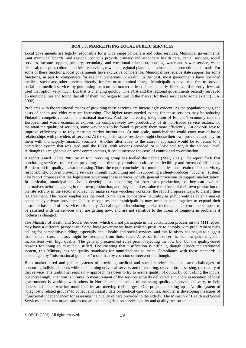#### **BOX 3.7: MARKETISING LOCAL PUBLIC SERVICES**

Local governments are legally responsible for a wide range of welfare and other services. Municipal governments, joint municipal boards, and regional councils provide primary and secondary health care, dental services, social services, income support, primary, secondary, and vocational education, housing, water and sewer service, waste disposal, transport, cultural and leisure services, town and regional planning, environmental protection, and roads. For some of these functions, local governments have exclusive competence. Municipalities receive state support for some functions, in part to compensate for regional variations in wealth. In the past, most governments have provided medical, social and other services directly, for free or at nominal charge. Municipalities have been free to provide social and medical services by purchasing them on the market at least since the early 1990s. Until recently, few had used that option very much. But that is changing quickly. The FCA and the regional governments recently surveyed 15 municipalities and found that all of them had begun to turn to the market for these services to some extent (FCA, 2002).

Problems with the traditional means of providing these services are increasingly evident. As the population ages, the costs of health and elder care are increasing. The higher taxes needed to pay for these services may be reducing Finland's competitiveness in international markets. And the increasing integration of Finland's economy into the European and world economies exposes the comparatively low productivity of its non-traded service sectors. To maintain the quality of services, some way needs to be found to provide them more efficiently. An obvious way to improve efficiency is to rely more on market institutions. At one scale, municipalities could enter market-based relationships with providers of services. At the opposite scale, residents might choose their own providers and pay for them with municipally-financed vouchers. Another alternative to the current approach would be to return to a centralised system that was used until the 1980s, with services provided, or at least paid for, at the national level. Although this might save on some common costs, it could increase the costs of control and co-ordination.

A report issued in late 2001 by an MTI working group has fuelled the debate (MTI, 2001). The report finds that purchasing services, rather than providing them directly, promises both greater flexibility and increased efficiency. But demand for quality is also increasing. Thus, the report concludes that municipalities must retain their supervisory responsibility, both in providing services through outsourcing and in supporting a client-producer "voucher" system. The report proposes that the legislation governing these services include general provisions to support marketisation. In particular, municipalities should develop cost accounting for their own production, so they can evaluate alternatives before engaging in their own production, and they should examine the effects of their own production on private activity in the sector involved. To make service vouchers workable, the report proposes ways to clarify their tax treatment. The report emphasizes the need to maintain competitive neutrality as public entities enter a market occupied by private providers. It also recognises that municipalities may need to band together to expand their customer base and offer services efficiently. A challenge to introducing market methods is that consumers appear to be satisfied with the services they are getting now, and are not sensitive to the threat of longer-term problems if nothing is changed.

The Ministry of Health and Social Services, which did not participate in the consultation process on the MTI report, may have a different perspective. Some local governments have resisted pressure to comply with procurement rules calling for competitive bidding, especially about health and social services, and this Ministry has begun to suggest that medical care, at least, might be exempted from those rules. A reason for concern is that low price might be inconsistent with high quality. The general procurement rules permit rejecting the low bid, but the quality-based reasons for doing so must be justified. Documenting that justification is difficult, though. Under the traditional system, this Ministry has set quality standards for municipalities to meet. Compliance with those standards is encouraged by "informational guidance" more than by coercion or intervention, though.

Both market-based and public systems of providing medical and social services face the same challenges, of honouring individual needs while maintaining universal service, and of ensuring, or even just assessing, the quality of that service. The traditional regulatory approach has been to try to assure quality of output by controlling the inputs, but increasingly attention is turning to measurement of the services actually delivered. Finland's association of local governments is working with others in Nordic area on means of assessing quality of service delivery, to help understand better whether municipalities are meeting their targets. One project is setting up a Nordic system of "diagnostic related groups" to collect and classify data on medical care outcomes. Another is developing measures of "functional independence" for assessing the quality of care provided to the elderly. The Ministry of Health and Social Services and patient organisations too are collecting data on service quality and quality measurement.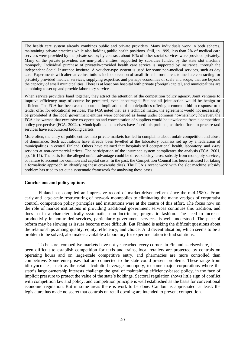The health care system already combines public and private providers. Many individuals work in both spheres, maintaining private practices while also holding public health positions. Still, in 1999, less than 2% of medical care services were provided by the private sector; by contrast, about 10% of other social services were provided privately. Many of the private providers are non-profit entities, supported by subsidies funded by the state slot machine monopoly. Individual purchase of privately-provided health care service is supported by insurance, through the independent Social Insurance Institute. A voucher-type system is used for some non-medical services, such as day care. Experiments with alternative institutions include creation of small firms in rural areas to mediate contracting for privately provided medical services, supplying expertise, and perhaps economies of scale and scope, that are beyond the capacity of small municipalities. There is at least one hospital with private (foreign) capital, and municipalities are combining to set up and provide laboratory services.

When service providers band together, they attract the attention of the competition policy agency. Joint ventures to improve efficiency may of course be permitted, even encouraged. But not all joint action would be benign or efficient. The FCA has been asked about the implications of municipalities offering a common bid in response to a tender offer for educational services. The FCA noted that, as a technical matter, the agreement would not necessarily be prohibited if the local government entities were conceived as being under common "ownership"; however, the FCA also warned that excessive co-operation and concentration of suppliers would be unwelcome from a competition policy perspective (FCA, 2002*a*). Municipalities themselves have faced this problem, as their efforts to procure taxi services have encountered bidding cartels.

More often, the entry of public entities into private markets has led to complaints about unfair competition and abuse of dominance. Such accusations have already been levelled at the laboratory business set up by a federation of municipalities in central Finland. Others have claimed that hospitals sell occupational health, laboratory, and x-ray services at non-commercial prices. The participation of the insurance system complicates the analysis (FCA, 2001, pp. 16-17). The basis for the alleged unfair advantage could be direct subsidy, cross subsidy from monopoly services, or failure to account for common and capital costs. In the past, the Competition Council has been criticised for taking a formalistic approach in identifying these cross-subsidies). The FCA's recent work with the slot machine subsidy problem has tried to set out a systematic framework for analysing these cases.

#### **Conclusions and policy options**

 Finland has compiled an impressive record of market-driven reform since the mid-1980s. From early and large-scale restructuring of network monopolies to eliminating the many vestiges of corporatist control, competition policy principles and institutions were at the centre of this effort. The focus now on the role of market institutions in providing traditional government services continues this tradition, and does so in a characteristically systematic, non-doctrinaire, pragmatic fashion. The need to increase productivity in non-traded services, particularly government services, is well understood. The pace of reform may be slowing as issues become more difficult. But Finland is asking the difficult questions about the relationships among quality, equity, efficiency, and choice. And decentralisation, which seems to be a problem to be solved, also makes available a laboratory for experimentation to find solutions.

 To be sure, competitive markets have not yet reached every corner. In Finland as elsewhere, it has been difficult to establish competition for taxis and trains, local retailers are protected by controls on operating hours and on large-scale competitive entry, and pharmacies are more controlled than competitive. Some enterprises that are connected to the state could present problems. These range from idiosyncrasies, such as the retail alcoholic beverage monopoly, to some major corporations where the state's large ownership interests challenge the goal of maintaining efficiency-based policy, in the face of implicit pressure to protect the value of the state's holdings. Sectoral regulation shows little sign of conflict with competition law and policy, and competition principle is well established as the basis for conventional economic regulation. But in some areas there is work to be done. Candour is appreciated, at least: the legislature has made no secret that controls on retail opening are intended to prevent competition.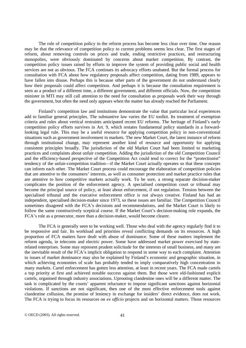The role of competition policy in the reform process has become less clear over time. One reason may be that the relevance of competition policy to current problems seems less clear. The first stages of reform, about removing controls on prices and trade, ending restrictive practices, and restructuring monopolies, were obviously dominated by concerns about market competition. By contrast, the competition policy issues raised by efforts to improve the system of providing public social and health services are not as obvious. The FCA continues its advocacy efforts unabated. But the formal process for consultation with FCA about how regulatory proposals affect competition, dating from 1989, appears to have fallen into disuse. Perhaps this is because other parts of the government do not understand clearly how their proposals could affect competition. And perhaps it is because the consultation requirement is seen as a product of a different time, a different government, and different officials. Now, the competition minister in MTI may still call attention to the need for consultation as proposals work their way through the government, but often the need only appears when the matter has already reached the Parliament.

 Finland's competition law and institutions demonstrate the value that particular local experiences add to familiar general principles. The substantive law varies the EU toolkit. Its treatment of exemption criteria and rules about vertical restraints anticipated recent EU reforms. The heritage of Finland's early competition policy efforts survives in Art. 9, which restates fundamental policy standards in a forwardlooking legal rule. This may be a useful resource for applying competition policy in non-conventional situations such as government involvement in markets. The new Market Court, the latest instance of reform through institutional change, may represent another kind of resource and opportunity for applying consistent principles broadly. The jurisdiction of the old Market Court had been limited to marketing practices and complaints about unfair competition. Adding the jurisdiction of the old Competition Council and the efficiency-based perspective of the Competition Act could tend to correct for the "protectionist" tendency of the unfair-competition tradition—if the Market Court actually operates so that these concepts can inform each other. The Market Court process could encourage the elaboration of competition policies that are attentive to the consumers' interests, as well as consumer protection and market practice rules that are attentive to how competitive markets actually work. To be sure, a strong separate decision-maker complicates the position of the enforcement agency. A specialised competition court or tribunal may become the principal source of policy, at least about enforcement, if not regulation. Tension between the specialised tribunal and the executive enforcement office is not always creative. Finland has had an independent, specialised decision-maker since 1973, so these issues are familiar. The Competition Council sometimes disagreed with the FCA's decisions and recommendations, and the Market Court is likely to follow the same constructively sceptical course. If the Market Court's decision-making role expands, the FCA's role as a prosecutor, more than a decision-maker, would become clearer.

 The FCA is generally seen to be working well. Those who deal with the agency regularly find it to be responsive and fair. Its workload and priorities reveal conflicting demands on its resources. A high proportion of FCA matters have dealt with abuse of dominance. Some of these matters implement the reform agenda, in telecoms and electric power. Some have addressed market power exercised by staterelated enterprises. Some may represent prudent solicitude for the interests of small business, and many are the inevitable result of the FCA's implicit obligation to respond in some way to each complaint. Attention to issues of market dominance may also be explained by Finland's economic and geographic situation, in which achieving economies of scale has probably tended to imply comparatively high concentration in many markets. Cartel enforcement has gotten less attention, at least in recent years. The FCA made cartels a top priority at first and achieved notable success against them. But those were old-fashioned explicit cartels, organised through industry associations. Uprooting clandestine ones will be a different matter. The task is complicated by the courts' apparent reluctance to impose significant sanctions against horizontal violations. If sanctions are not significant, then one of the most effective enforcement tools against clandestine collusion, the promise of leniency in exchange for insiders' direct evidence, does not work. The FCA is trying to focus its resources on *ex officio* projects and on horizontal matters. Those resources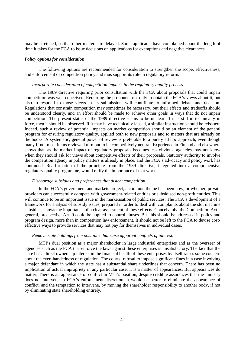may be stretched, so that other matters are delayed. Some applicants have complained about the length of time it takes for the FCA to issue decisions on applications for exemptions and negative clearances.

#### *Policy options for consideration*

 The following options are recommended for consideration to strengthen the scope, effectiveness, and enforcement of competition policy and thus support its role in regulatory reform.

## *Incorporate consideration of competition impacts in the regulatory quality process.*

 The 1989 directive requiring prior consultation with the FCA about proposals that could impair competition was well conceived. Requiring the proponent not only to obtain the FCA's views about it, but also to respond to those views in its submission, will contribute to informed debate and decision. Regulations that constrain competition may sometimes be necessary, but their effects and tradeoffs should be understood clearly, and an effort should be made to achieve other goals in ways that do not impair competition. The present status of the 1989 directive seems to be unclear. If it is still in technically in force, then it should be observed. If it may have technically lapsed, a similar instruction should be reissued. Indeed, such a review of potential impacts on market competition should be an element of the general program for ensuring regulatory quality, applied both to new proposals and to matters that are already on the books. A systematic, general power of review is preferable to a purely ad hoc approach, even though many if not most items reviewed turn out to be competitively neutral. Experience in Finland and elsewhere shows that, as the market impact of regulatory proposals becomes less obvious, agencies may not know when they should ask for views about competitive effects of their proposals. Statutory authority to involve the competition agency in policy matters is already in place, and the FCA's advocacy and policy work has continued. Reaffirmation of the principle from the 1989 directive, integrated into a comprehensive regulatory quality programme, would ratify the importance of that work.

#### *Discourage subsidies and preferences that distort competition.*

 In the FCA's government and markets project, a common theme has been how, or whether, private providers can successfully compete with government-related entities or subsidised non-profit entities. This will continue to be an important issue in the marketisation of public services. The FCA's development of a framework for analysis of subsidy issues, prepared in order to deal with complaints about the slot machine subsidies, shows the importance of a clear assessment of these effects. Conceivably, the Competition Act's general, prospective Art. 9 could be applied to control abuses. But this should be addressed in policy and program design, more than in competition law enforcement. It should not be left to the FCA to devise costeffective ways to provide services that may not pay for themselves in individual cases.

#### *Remove state holdings from positions that raise apparent conflicts of interest.*

 MTI's dual position as a major shareholder in large industrial enterprises and as the overseer of agencies such as the FCA that enforce the laws against these enterprises is unsatisfactory. The fact that the state has a direct ownership interest in the financial health of these enterprises by itself raises some concern about the even-handedness of regulation. The courts' refusal to impose significant fines in a case involving a major defendant in which the state has a substantial share underlines that concern. There has been no implication of actual impropriety in any particular case. It is a matter of appearances. But appearances do matter. There is an appearance of conflict in MTI's position, despite credible assurances that the ministry does not intervene in FCA's enforcement discretion. It would be better to eliminate the appearance of conflict, and the temptation to intervene, by moving the shareholder responsibility to another body, if not by eliminating state shareholding entirely.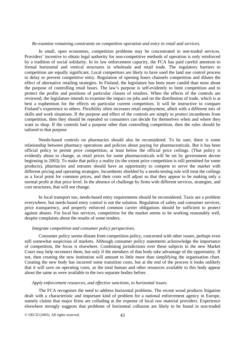## *Re-examine remaining constraints on competitive operation and entry in retail and services.*

 In small, open economies, competition problems may be concentrated in non-traded services. Providers' incentive to obtain legal authority for non-competitive methods of operation is only reinforced by a tradition of social solidarity. In its law enforcement capacity, the FCA has paid careful attention to formal horizontal and vertical structures in wholesale and retail trade. The regulatory barriers to competition are equally significant. Local competitors are likely to have used the land use control process to delay or prevent competitive entry. Regulation of opening hours channels competition and dilutes the effect of alternative retailing strategies. In Finland, the legislature has been more candid than most about the purpose of controlling retail hours. The law's purpose is self-evidently to limit competition and to protect the profits and positions of particular classes of retailers. When the effects of the controls are reviewed, the legislature intends to examine the impact on jobs and on the distribution of trade, which is at best a euphemism for the effects on particular current competitors. It will be instructive to compare Finland's experience to others. Flexibility often increases retail employment, albeit with a different mix of skills and work situations. If the purpose and effect of the controls are simply to protect incumbents from competition, then they should be repealed so consumers can decide for themselves when and where they want to shop. If the controls had a purpose other than controlling competition, then the rules should be tailored to that purpose

 Needs-based controls on pharmacies should also be reconsidered. To be sure, there is some relationship between pharmacy operations and policies about paying for pharmaceuticals. But it has been official policy to permit price competition, at least below the official price ceilings. (That policy is evidently about to change, as retail prices for some pharmaceuticals will be set by government decree beginning in 2003). To make that policy a reality (to the extent price competition is still permitted for some products), pharmacies and entrants should have an opportunity to compete to serve the market with different pricing and operating strategies. Incumbents shielded by a needs-testing rule will treat the ceilings as a focal point for common prices, and their costs will adjust so that they appear to be making only a normal profit at that price level. In the absence of challenge by firms with different services, strategies, and cost structures, that will not change.

 In local transport too, needs-based entry requirements should be reconsidered. Taxis are a problem everywhere, but needs-based entry control is not the solution. Regulation of safety and consumer services, price transparency, and properly enforced common carrier obligations should be sufficient to protect against abuses. For local bus services, competition for the market seems to be working reasonably well, despite complaints about the results of some tenders.

## *Integrate competition and consumer policy perspectives.*

 Consumer policy seems distant from competition policy, concerned with other issues, perhaps even still somewhat suspicious of markets. Although consumer policy statements acknowledge the importance of competition, the focus is elsewhere. Combining jurisdictions over these subjects in the new Market Court may help reconnect them, but only if the members of that body take advantage of the opportunity. If not, then creating the new institution will amount to little more than simplifying the organisation chart. Creating the new body has incurred some transition costs, but at the end of the process it looks unlikely that it will save on operating costs, as the total human and other resources available to this body appear about the same as were available to the two separate bodies before.

## *Apply enforcement resources, and effective sanctions, to horizontal issues.*

 The FCA recognises the need to address horizontal problems. The recent wood products litigation dealt with a characteristic and important kind of problem for a national enforcement agency in Europe, namely claims that major firms are colluding at the expense of local raw material providers. Experience elsewhere strongly suggests that problems of horizontal collusion are likely to be found in non-traded

© OECD (2003). All rights reserved. 43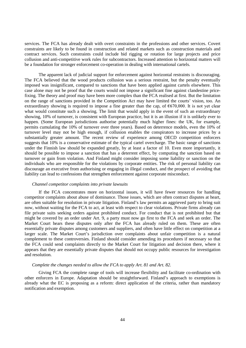services. The FCA has already dealt with overt constraints in the professions and other services. Covert constraints are likely to be found in construction and related markets such as construction materials and contract services. Such constraints could include bid rigging or rotation for large projects and price collusion and anti-competitive work rules for subcontractors. Increased attention to horizontal matters will be a foundation for stronger enforcement co-operation in dealing with international cartels.

 The apparent lack of judicial support for enforcement against horizontal restraints is discouraging. The FCA believed that the wood products collusion was a serious restraint, but the penalty eventually imposed was insignificant, compared to sanctions that have been applied against cartels elsewhere. This case alone may not be proof that the courts would not impose a significant fine against clandestine pricefixing. The theory and proof may have been more complex than the FCA realised at first. But the limitation on the range of sanctions provided in the Competition Act may have limited the courts' vision, too. An extraordinary showing is required to impose a fine greater than the cap, of  $\epsilon$ 670,000. It is not yet clear what would constitute such a showing. The limit that would apply in the event of such an extraordinary showing, 10% of turnover, is consistent with European practice, but it is an illusion if it is unlikely ever to happen. (Some European jurisdictions authorise potentially much higher fines: the UK, for example, permits cumulating the 10% of turnover over three years). Based on deterrence models, even the 10% of turnover level may not be high enough, if collusion enables the conspirators to increase prices by a substantially greater amount. The recent review of experience among OECD competition enforcers suggests that 10% is a conservative estimate of the typical cartel overcharge. The basic range of sanctions under the Finnish law should be expanded greatly, by at least a factor of 10. Even more importantly, it should be possible to impose a sanction that has a deterrent effect, by computing the sanction based on turnover or gain from violation. And Finland might consider imposing some liability or sanction on the individuals who are responsible for the violations by corporate entities. The risk of personal liability can discourage an executive from authorising or engaging in illegal conduct, and the prospect of avoiding that liability can lead to confessions that strengthen enforcement against corporate misconduct.

## *Channel competitor complaints into private lawsuits*

 If the FCA concentrates more on horizontal issues, it will have fewer resources for handling competitor complaints about abuse of dominance. Those issues, which are often contract disputes at heart, are often suitable for resolution in private litigation. Finland's law permits an aggrieved party to bring suit now, without waiting for the FCA to act, at least with respect to clear violations. Private firms already can file private suits seeking orders against prohibited conduct. For conduct that is not prohibited but that might be covered by an order under Art. 9, a party must now go first to the FCA and seek an order. The Market Court hears these disputes only after the FCA has already ruled on them. These are often essentially private disputes among customers and suppliers, and often have little effect on competition at a larger scale. The Market Court's jurisdiction over complaints about unfair competition is a natural complement to these controversies. Finland should consider amending its procedures if necessary so that the FCA could send complaints directly to the Market Court for litigation and decision there, where it appears that they are essentially private disputes that should not occupy public resources for investigation and resolution.

## *Complete the changes needed to allow the FCA to apply Art. 81 and Art. 82.*

 Giving FCA the complete range of tools will increase flexibility and facilitate co-ordination with other enforcers in Europe. Adaptation should be straightforward. Finland's approach to exemptions is already what the EC is proposing as a reform: direct application of the criteria, rather than mandatory notification and exemption.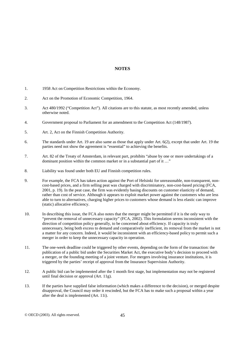## **NOTES**

- 1. 1958 Act on Competition Restrictions within the Economy.
- 2. Act on the Promotion of Economic Competition, 1964.
- 3. Act 480/1992 ("Competition Act"). All citations are to this statute, as most recently amended, unless otherwise noted.
- 4. Government proposal to Parliament for an amendment to the Competition Act (148/1987).
- 5. Art. 2, Act on the Finnish Competition Authority.
- 6. The standards under Art. 19 are also same as those that apply under Art. 6(2), except that under Art. 19 the parties need not show the agreement is "essential" to achieving the benefits.
- 7. Art. 82 of the Treaty of Amsterdam, in relevant part, prohibits "abuse by one or more undertakings of a dominant position within the common market or in a substantial part of it …"
- 8. Liability was found under both EU and Finnish competition rules.
- 9. For example, the FCA has taken action against the Port of Helsinki for unreasonable, non-transparent, noncost-based prices, and a firm selling peat was charged with discriminatory, non-cost-based pricing (FCA, 2001, p. 19). In the peat case, the firm was evidently basing discounts on customer elasticity of demand, rather than cost of service. Although it appears to exploit market power against the customers who are less able to turn to alternatives, charging higher prices to customers whose demand is less elastic can improve (static) allocative efficiency.
- 10. In describing this issue, the FCA also notes that the merger might be permitted if it is the only way to "prevent the removal of unnecessary capacity" (FCA, 2002). This formulation seems inconsistent with the direction of competition policy generally, to be concerned about efficiency. If capacity is truly unnecessary, being both excess to demand and comparatively inefficient, its removal from the market is not a matter for any concern. Indeed, it would be inconsistent with an efficiency-based policy to permit such a merger in order to keep the unnecessary capacity in operation.
- 11. The one-week deadline could be triggered by other events, depending on the form of the transaction: the publication of a public bid under the Securities Market Act, the executive body's decision to proceed with a merger, or the founding meeting of a joint venture. For mergers involving insurance institutions, it is triggered by the parties' receipt of approval from the Insurance Supervision Authority.
- 12. A public bid can be implemented after the 1 month first stage, but implementation may not be registered until final decision or approval (Art. 11g).
- 13. If the parties have supplied false information (which makes a difference to the decision), or merged despite disapproval, the Council may order it rescinded, but the FCA has to make such a proposal within a year after the deal is implemented (Art. 11i).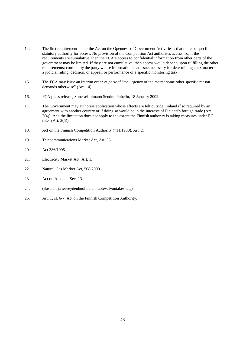- 14. The first requirement under the Act on the Openness of Government Activities s that there be specific statutory authority for access. No provision of the Competition Act authorises access, so, if the requirements are cumulative, then the FCA's access to confidential information from other parts of the government may be limited. If they are not cumulative, then access would depend upon fulfilling the other requirements: consent by the party whose information is at issue, necessity for determining a tax matter or a judicial ruling, decision, or appeal; or performance of a specific monitoring task.
- 15. The FCA may issue an interim order *es parte* if "the urgency of the matter some other specific reason demands otherwise" (Art. 14).
- 16. FCA press release, Sonera/Loimann Seudun Puhelin, 18 January 2002.
- 17. The Government may authorise application whose effects are felt outside Finland if so required by an agreement with another country or if doing so would be in the interests of Finland's foreign trade (Art. 2(4)). And the limitation does not apply to the extent the Finnish authority is taking measures under EC rules (Art. 2(5)).
- 18. Act on the Finnish Competition Authority (711/1988), Art. 2.
- 19. Telecommunications Market Act, Art. 36.
- 20. Act 386/1995.
- 21. Electricity Market Act, Art. 1.
- 22. Natural Gas Market Act, 508/2000.
- 23. Act on Alcohol, Sec. 13.
- 24. (Sosiaali ja terveydenhuoltoalan tuotevalvontakeskus,)
- 25. Art. 1, cl. 6-7, Act on the Finnish Competition Authority.